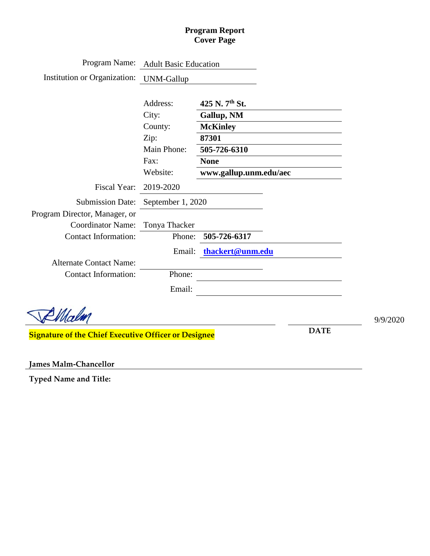#### **Program Report Cover Page**

| Program Name:                                               | <b>Adult Basic Education</b> |                               |             |          |
|-------------------------------------------------------------|------------------------------|-------------------------------|-------------|----------|
| Institution or Organization:                                | <b>UNM-Gallup</b>            |                               |             |          |
|                                                             |                              | 425 N. 7 <sup>th</sup> St.    |             |          |
|                                                             | Address:                     |                               |             |          |
|                                                             | City:<br>County:             | Gallup, NM<br><b>McKinley</b> |             |          |
|                                                             |                              | 87301                         |             |          |
|                                                             | Zip:<br>Main Phone:          | 505-726-6310                  |             |          |
|                                                             | Fax:                         | <b>None</b>                   |             |          |
|                                                             | Website:                     | www.gallup.unm.edu/aec        |             |          |
| Fiscal Year:                                                | 2019-2020                    |                               |             |          |
| <b>Submission Date:</b>                                     | September 1, 2020            |                               |             |          |
| Program Director, Manager, or                               |                              |                               |             |          |
| <b>Coordinator Name:</b>                                    | Tonya Thacker                |                               |             |          |
| <b>Contact Information:</b>                                 | Phone:                       | 505-726-6317                  |             |          |
|                                                             | Email:                       | thackert@unm.edu              |             |          |
| <b>Alternate Contact Name:</b>                              |                              |                               |             |          |
| <b>Contact Information:</b>                                 | Phone:                       |                               |             |          |
|                                                             | Email:                       |                               |             |          |
|                                                             |                              |                               |             |          |
|                                                             |                              |                               |             | 9/9/2020 |
| <b>Signature of the Chief Executive Officer or Designee</b> |                              |                               | <b>DATE</b> |          |
|                                                             |                              |                               |             |          |

**James Malm-Chancellor**

**Typed Name and Title:**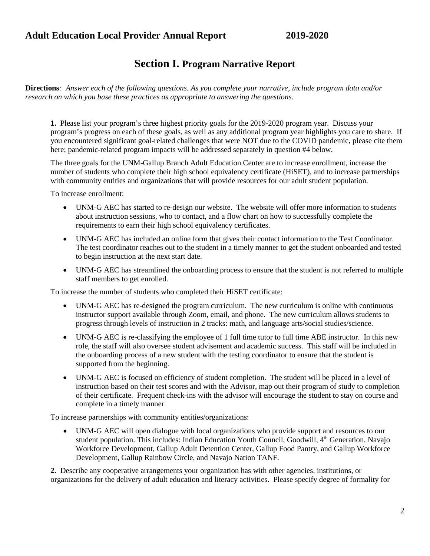### **Section I. Program Narrative Report**

**Directions***: Answer each of the following questions. As you complete your narrative, include program data and/or research on which you base these practices as appropriate to answering the questions.*

**1.** Please list your program's three highest priority goals for the 2019-2020 program year. Discuss your program's progress on each of these goals, as well as any additional program year highlights you care to share. If you encountered significant goal-related challenges that were NOT due to the COVID pandemic, please cite them here; pandemic-related program impacts will be addressed separately in question #4 below.

The three goals for the UNM-Gallup Branch Adult Education Center are to increase enrollment, increase the number of students who complete their high school equivalency certificate (HiSET), and to increase partnerships with community entities and organizations that will provide resources for our adult student population.

To increase enrollment:

- UNM-G AEC has started to re-design our website. The website will offer more information to students about instruction sessions, who to contact, and a flow chart on how to successfully complete the requirements to earn their high school equivalency certificates.
- UNM-G AEC has included an online form that gives their contact information to the Test Coordinator. The test coordinator reaches out to the student in a timely manner to get the student onboarded and tested to begin instruction at the next start date.
- UNM-G AEC has streamlined the onboarding process to ensure that the student is not referred to multiple staff members to get enrolled.

To increase the number of students who completed their HiSET certificate:

- UNM-G AEC has re-designed the program curriculum. The new curriculum is online with continuous instructor support available through Zoom, email, and phone. The new curriculum allows students to progress through levels of instruction in 2 tracks: math, and language arts/social studies/science.
- UNM-G AEC is re-classifying the employee of 1 full time tutor to full time ABE instructor. In this new role, the staff will also oversee student advisement and academic success. This staff will be included in the onboarding process of a new student with the testing coordinator to ensure that the student is supported from the beginning.
- UNM-G AEC is focused on efficiency of student completion. The student will be placed in a level of instruction based on their test scores and with the Advisor, map out their program of study to completion of their certificate. Frequent check-ins with the advisor will encourage the student to stay on course and complete in a timely manner

To increase partnerships with community entities/organizations:

• UNM-G AEC will open dialogue with local organizations who provide support and resources to our student population. This includes: Indian Education Youth Council, Goodwill, 4<sup>th</sup> Generation, Navajo Workforce Development, Gallup Adult Detention Center, Gallup Food Pantry, and Gallup Workforce Development, Gallup Rainbow Circle, and Navajo Nation TANF.

**2.** Describe any cooperative arrangements your organization has with other agencies, institutions, or organizations for the delivery of adult education and literacy activities. Please specify degree of formality for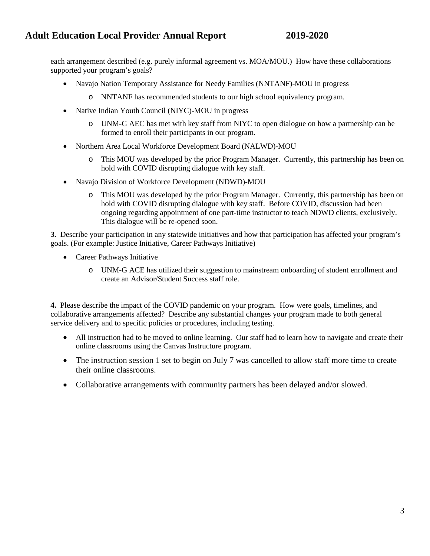each arrangement described (e.g. purely informal agreement vs. MOA/MOU.) How have these collaborations supported your program's goals?

- Navajo Nation Temporary Assistance for Needy Families (NNTANF)-MOU in progress
	- o NNTANF has recommended students to our high school equivalency program.
- Native Indian Youth Council (NIYC)-MOU in progress
	- o UNM-G AEC has met with key staff from NIYC to open dialogue on how a partnership can be formed to enroll their participants in our program.
- Northern Area Local Workforce Development Board (NALWD)-MOU
	- o This MOU was developed by the prior Program Manager. Currently, this partnership has been on hold with COVID disrupting dialogue with key staff.
- Navajo Division of Workforce Development (NDWD)-MOU
	- o This MOU was developed by the prior Program Manager. Currently, this partnership has been on hold with COVID disrupting dialogue with key staff. Before COVID, discussion had been ongoing regarding appointment of one part-time instructor to teach NDWD clients, exclusively. This dialogue will be re-opened soon.

**3.** Describe your participation in any statewide initiatives and how that participation has affected your program's goals. (For example: Justice Initiative, Career Pathways Initiative)

- Career Pathways Initiative
	- o UNM-G ACE has utilized their suggestion to mainstream onboarding of student enrollment and create an Advisor/Student Success staff role.

**4.** Please describe the impact of the COVID pandemic on your program. How were goals, timelines, and collaborative arrangements affected? Describe any substantial changes your program made to both general service delivery and to specific policies or procedures, including testing.

- All instruction had to be moved to online learning. Our staff had to learn how to navigate and create their online classrooms using the Canvas Instructure program.
- The instruction session 1 set to begin on July 7 was cancelled to allow staff more time to create their online classrooms.
- Collaborative arrangements with community partners has been delayed and/or slowed.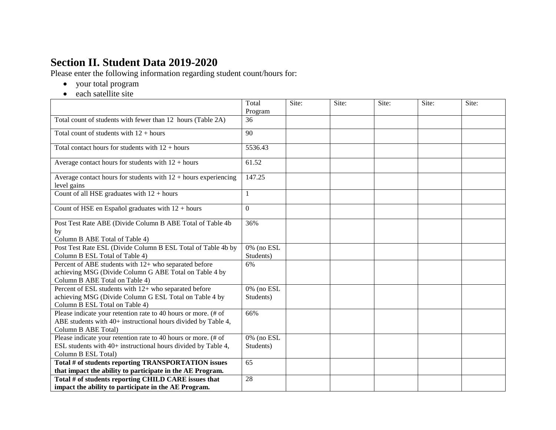## **Section II. Student Data 2019-2020**

Please enter the following information regarding student count/hours for:

- your total program
- each satellite site

|                                                                                                                                                        | Total<br>Program           | Site: | Site: | Site: | Site: | Site: |
|--------------------------------------------------------------------------------------------------------------------------------------------------------|----------------------------|-------|-------|-------|-------|-------|
| Total count of students with fewer than 12 hours (Table 2A)                                                                                            | 36                         |       |       |       |       |       |
| Total count of students with $12 + hours$                                                                                                              | 90                         |       |       |       |       |       |
| Total contact hours for students with $12 + hours$                                                                                                     | 5536.43                    |       |       |       |       |       |
| Average contact hours for students with $12 + hours$                                                                                                   | 61.52                      |       |       |       |       |       |
| Average contact hours for students with $12 +$ hours experiencing<br>level gains                                                                       | 147.25                     |       |       |       |       |       |
| Count of all HSE graduates with $12 + hours$                                                                                                           | 1                          |       |       |       |       |       |
| Count of HSE en Español graduates with $12 + hours$                                                                                                    | $\Omega$                   |       |       |       |       |       |
| Post Test Rate ABE (Divide Column B ABE Total of Table 4b<br>by<br>Column B ABE Total of Table 4)                                                      | 36%                        |       |       |       |       |       |
| Post Test Rate ESL (Divide Column B ESL Total of Table 4b by<br>Column B ESL Total of Table 4)                                                         | 0% (no ESL<br>Students)    |       |       |       |       |       |
| Percent of ABE students with 12+ who separated before<br>achieving MSG (Divide Column G ABE Total on Table 4 by<br>Column B ABE Total on Table 4)      | 6%                         |       |       |       |       |       |
| Percent of ESL students with 12+ who separated before<br>achieving MSG (Divide Column G ESL Total on Table 4 by<br>Column B ESL Total on Table 4)      | 0% (no ESL<br>Students)    |       |       |       |       |       |
| Please indicate your retention rate to 40 hours or more. (# of<br>ABE students with 40+ instructional hours divided by Table 4,<br>Column B ABE Total) | 66%                        |       |       |       |       |       |
| Please indicate your retention rate to 40 hours or more. (# of<br>ESL students with 40+ instructional hours divided by Table 4,<br>Column B ESL Total) | $0\%$ (no ESL<br>Students) |       |       |       |       |       |
| Total # of students reporting TRANSPORTATION issues<br>that impact the ability to participate in the AE Program.                                       | 65                         |       |       |       |       |       |
| Total # of students reporting CHILD CARE issues that<br>impact the ability to participate in the AE Program.                                           | 28                         |       |       |       |       |       |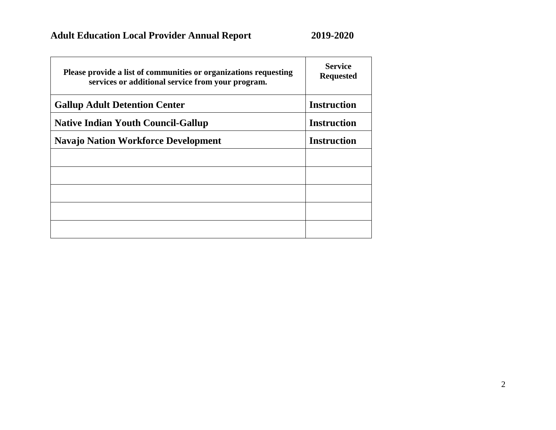| Please provide a list of communities or organizations requesting<br>services or additional service from your program. | <b>Service</b><br><b>Requested</b> |
|-----------------------------------------------------------------------------------------------------------------------|------------------------------------|
| <b>Gallup Adult Detention Center</b>                                                                                  | <b>Instruction</b>                 |
| <b>Native Indian Youth Council-Gallup</b>                                                                             | <b>Instruction</b>                 |
| <b>Navajo Nation Workforce Development</b>                                                                            | <b>Instruction</b>                 |
|                                                                                                                       |                                    |
|                                                                                                                       |                                    |
|                                                                                                                       |                                    |
|                                                                                                                       |                                    |
|                                                                                                                       |                                    |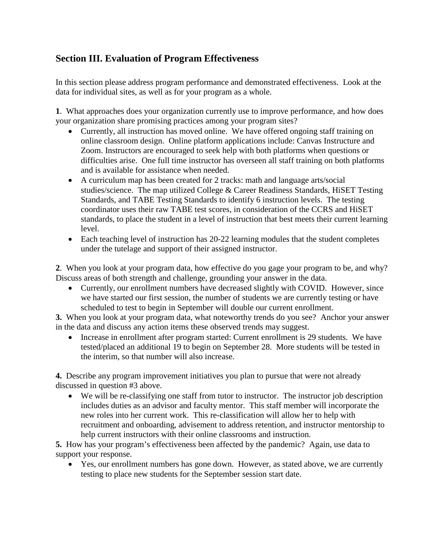### **Section III. Evaluation of Program Effectiveness**

In this section please address program performance and demonstrated effectiveness. Look at the data for individual sites, as well as for your program as a whole.

**1**. What approaches does your organization currently use to improve performance, and how does your organization share promising practices among your program sites?

- Currently, all instruction has moved online. We have offered ongoing staff training on online classroom design. Online platform applications include: Canvas Instructure and Zoom. Instructors are encouraged to seek help with both platforms when questions or difficulties arise. One full time instructor has overseen all staff training on both platforms and is available for assistance when needed.
- A curriculum map has been created for 2 tracks: math and language arts/social studies/science. The map utilized College & Career Readiness Standards, HiSET Testing Standards, and TABE Testing Standards to identify 6 instruction levels. The testing coordinator uses their raw TABE test scores, in consideration of the CCRS and HiSET standards, to place the student in a level of instruction that best meets their current learning level.
- Each teaching level of instruction has 20-22 learning modules that the student completes under the tutelage and support of their assigned instructor.

**2**. When you look at your program data, how effective do you gage your program to be, and why? Discuss areas of both strength and challenge, grounding your answer in the data.

• Currently, our enrollment numbers have decreased slightly with COVID. However, since we have started our first session, the number of students we are currently testing or have scheduled to test to begin in September will double our current enrollment.

**3.** When you look at your program data, what noteworthy trends do you see? Anchor your answer in the data and discuss any action items these observed trends may suggest.

• Increase in enrollment after program started: Current enrollment is 29 students. We have tested/placed an additional 19 to begin on September 28. More students will be tested in the interim, so that number will also increase.

**4.** Describe any program improvement initiatives you plan to pursue that were not already discussed in question #3 above.

• We will be re-classifying one staff from tutor to instructor. The instructor job description includes duties as an advisor and faculty mentor. This staff member will incorporate the new roles into her current work. This re-classification will allow her to help with recruitment and onboarding, advisement to address retention, and instructor mentorship to help current instructors with their online classrooms and instruction.

**5.** How has your program's effectiveness been affected by the pandemic? Again, use data to support your response.

• Yes, our enrollment numbers has gone down. However, as stated above, we are currently testing to place new students for the September session start date.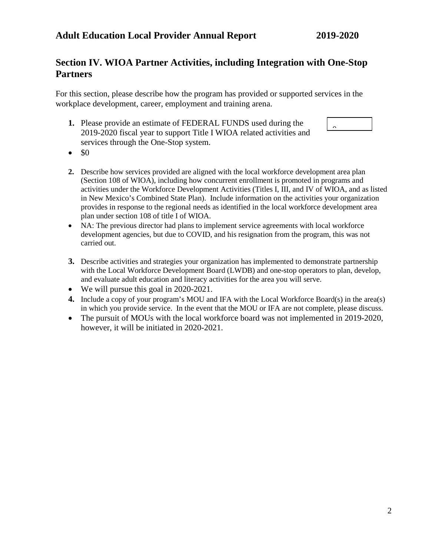### **Section IV. WIOA Partner Activities, including Integration with One-Stop Partners**

For this section, please describe how the program has provided or supported services in the workplace development, career, employment and training arena.

**1.** Please provide an estimate of FEDERAL FUNDS used during the 2019-2020 fiscal year to support Title I WIOA related activities and services through the One-Stop system.

- $\bullet$  \$0
- **2.** Describe how services provided are aligned with the local workforce development area plan (Section 108 of WIOA), including how concurrent enrollment is promoted in programs and activities under the Workforce Development Activities (Titles I, III, and IV of WIOA, and as listed in New Mexico's Combined State Plan). Include information on the activities your organization provides in response to the regional needs as identified in the local workforce development area plan under section 108 of title I of WIOA.
- NA: The previous director had plans to implement service agreements with local workforce development agencies, but due to COVID, and his resignation from the program, this was not carried out.
- **3.** Describe activities and strategies your organization has implemented to demonstrate partnership with the Local Workforce Development Board (LWDB) and one-stop operators to plan, develop, and evaluate adult education and literacy activities for the area you will serve.
- We will pursue this goal in 2020-2021.
- **4.** Include a copy of your program's MOU and IFA with the Local Workforce Board(s) in the area(s) in which you provide service. In the event that the MOU or IFA are not complete, please discuss.
- The pursuit of MOUs with the local workforce board was not implemented in 2019-2020, however, it will be initiated in 2020-2021.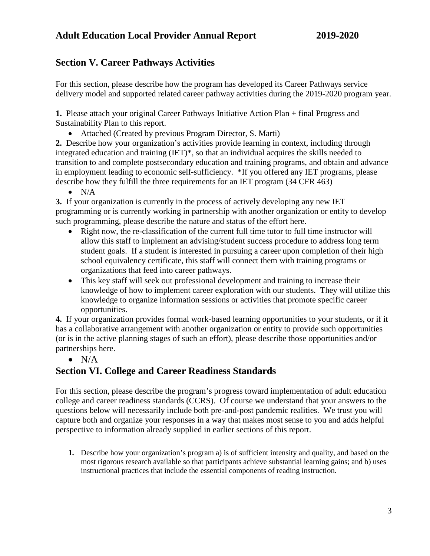### **Section V. Career Pathways Activities**

For this section, please describe how the program has developed its Career Pathways service delivery model and supported related career pathway activities during the 2019-2020 program year.

**1.** Please attach your original Career Pathways Initiative Action Plan **+** final Progress and Sustainability Plan to this report.

• Attached (Created by previous Program Director, S. Marti)

**2.** Describe how your organization's activities provide learning in context, including through integrated education and training (IET)\*, so that an individual acquires the skills needed to transition to and complete postsecondary education and training programs, and obtain and advance in employment leading to economic self-sufficiency. \*If you offered any IET programs, please describe how they fulfill the three requirements for an IET program (34 CFR 463)

 $\bullet$  N/A

**3.** If your organization is currently in the process of actively developing any new IET programming or is currently working in partnership with another organization or entity to develop such programming, please describe the nature and status of the effort here.

- Right now, the re-classification of the current full time tutor to full time instructor will allow this staff to implement an advising/student success procedure to address long term student goals. If a student is interested in pursuing a career upon completion of their high school equivalency certificate, this staff will connect them with training programs or organizations that feed into career pathways.
- This key staff will seek out professional development and training to increase their knowledge of how to implement career exploration with our students. They will utilize this knowledge to organize information sessions or activities that promote specific career opportunities.

**4.** If your organization provides formal work-based learning opportunities to your students, or if it has a collaborative arrangement with another organization or entity to provide such opportunities (or is in the active planning stages of such an effort), please describe those opportunities and/or partnerships here.

 $\bullet$  N/A

### **Section VI. College and Career Readiness Standards**

For this section, please describe the program's progress toward implementation of adult education college and career readiness standards (CCRS). Of course we understand that your answers to the questions below will necessarily include both pre-and-post pandemic realities. We trust you will capture both and organize your responses in a way that makes most sense to you and adds helpful perspective to information already supplied in earlier sections of this report.

**1.** Describe how your organization's program a) is of sufficient intensity and quality, and based on the most rigorous research available so that participants achieve substantial learning gains; and b) uses instructional practices that include the essential components of reading instruction.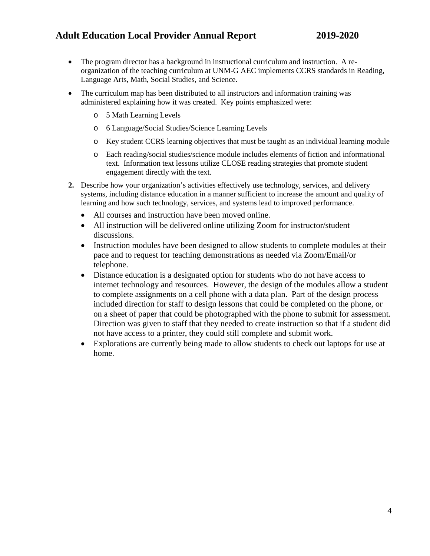- The program director has a background in instructional curriculum and instruction. A reorganization of the teaching curriculum at UNM-G AEC implements CCRS standards in Reading, Language Arts, Math, Social Studies, and Science.
- The curriculum map has been distributed to all instructors and information training was administered explaining how it was created. Key points emphasized were:
	- o 5 Math Learning Levels
	- o 6 Language/Social Studies/Science Learning Levels
	- o Key student CCRS learning objectives that must be taught as an individual learning module
	- o Each reading/social studies/science module includes elements of fiction and informational text. Information text lessons utilize CLOSE reading strategies that promote student engagement directly with the text.
- **2.** Describe how your organization's activities effectively use technology, services, and delivery systems, including distance education in a manner sufficient to increase the amount and quality of learning and how such technology, services, and systems lead to improved performance.
	- All courses and instruction have been moved online.
	- All instruction will be delivered online utilizing Zoom for instructor/student discussions.
	- Instruction modules have been designed to allow students to complete modules at their pace and to request for teaching demonstrations as needed via Zoom/Email/or telephone.
	- Distance education is a designated option for students who do not have access to internet technology and resources. However, the design of the modules allow a student to complete assignments on a cell phone with a data plan. Part of the design process included direction for staff to design lessons that could be completed on the phone, or on a sheet of paper that could be photographed with the phone to submit for assessment. Direction was given to staff that they needed to create instruction so that if a student did not have access to a printer, they could still complete and submit work.
	- Explorations are currently being made to allow students to check out laptops for use at home.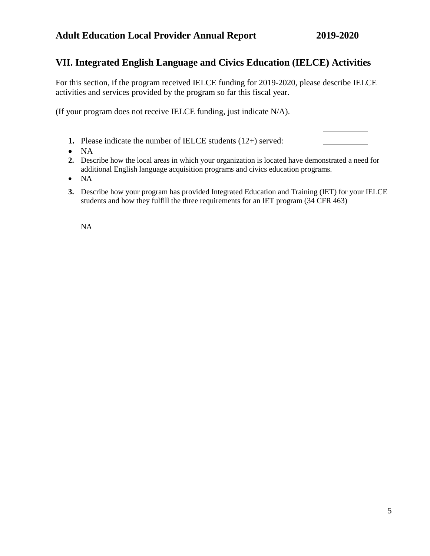#### **VII. Integrated English Language and Civics Education (IELCE) Activities**

For this section, if the program received IELCE funding for 2019-2020, please describe IELCE activities and services provided by the program so far this fiscal year.

(If your program does not receive IELCE funding, just indicate N/A).

- **1.** Please indicate the number of IELCE students (12+) served:
- NA
- **2.** Describe how the local areas in which your organization is located have demonstrated a need for additional English language acquisition programs and civics education programs.
- NA
- **3.** Describe how your program has provided Integrated Education and Training (IET) for your IELCE students and how they fulfill the three requirements for an IET program (34 CFR 463)

NA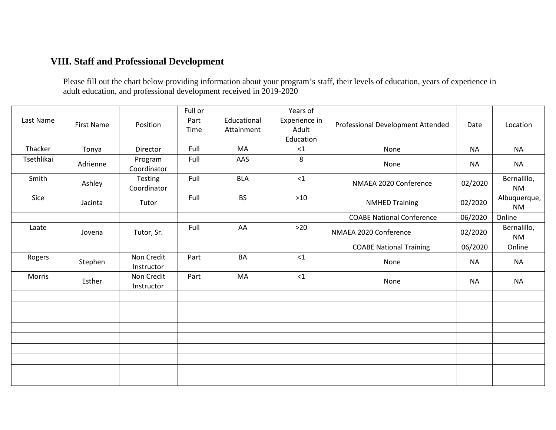## **VIII. Staff and Professional Development**

Please fill out the chart below providing information about your program's staff, their levels of education, years of experience in adult education, and professional development received in 2019-2020

| Last Name  | <b>First Name</b> | Position                 | Full or<br>Part<br>Time | Educational<br>Attainment | Years of<br>Experience in<br>Adult<br>Education | Professional Development Attended | Date      | Location                  |
|------------|-------------------|--------------------------|-------------------------|---------------------------|-------------------------------------------------|-----------------------------------|-----------|---------------------------|
| Thacker    | Tonya             | Director                 | Full                    | MA                        | $<1\,$                                          | None                              | <b>NA</b> | <b>NA</b>                 |
| Tsethlikai | Adrienne          | Program<br>Coordinator   | Full                    | AAS                       | 8                                               | None                              | <b>NA</b> | <b>NA</b>                 |
| Smith      | Ashley            | Testing<br>Coordinator   | Full                    | <b>BLA</b>                | $<1\,$                                          | NMAEA 2020 Conference             | 02/2020   | Bernalillo,<br><b>NM</b>  |
| Sice       | Jacinta           | Tutor                    | Full                    | <b>BS</b>                 | $>10$                                           | <b>NMHED Training</b>             | 02/2020   | Albuquerque,<br><b>NM</b> |
|            |                   |                          |                         |                           |                                                 | <b>COABE National Conference</b>  | 06/2020   | Online                    |
| Laate      | Jovena            | Tutor, Sr.               | Full                    | AA                        | $>20$                                           | NMAEA 2020 Conference             | 02/2020   | Bernalillo,<br><b>NM</b>  |
|            |                   |                          |                         |                           |                                                 | <b>COABE National Training</b>    | 06/2020   | Online                    |
| Rogers     | Stephen           | Non Credit<br>Instructor | Part                    | BA                        | $<$ 1                                           | None                              | <b>NA</b> | <b>NA</b>                 |
| Morris     | Esther            | Non Credit<br>Instructor | Part                    | MA                        | <1                                              | None                              | <b>NA</b> | <b>NA</b>                 |
|            |                   |                          |                         |                           |                                                 |                                   |           |                           |
|            |                   |                          |                         |                           |                                                 |                                   |           |                           |
|            |                   |                          |                         |                           |                                                 |                                   |           |                           |
|            |                   |                          |                         |                           |                                                 |                                   |           |                           |
|            |                   |                          |                         |                           |                                                 |                                   |           |                           |
|            |                   |                          |                         |                           |                                                 |                                   |           |                           |
|            |                   |                          |                         |                           |                                                 |                                   |           |                           |
|            |                   |                          |                         |                           |                                                 |                                   |           |                           |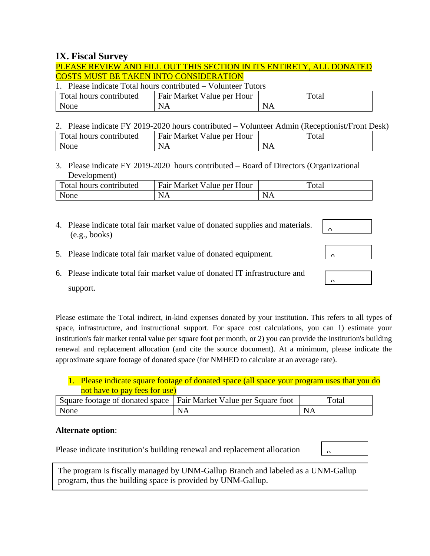#### **IX. Fiscal Survey**

#### PLEASE REVIEW AND FILL OUT THIS SECTION IN ITS ENTIRETY, ALL DONATED COSTS MUST BE TAKEN INTO CONSIDERATION

1. Please indicate Total hours contributed – Volunteer Tutors

| Total hours contributed | <b>Fair Market Value per Hour</b> | Total     |
|-------------------------|-----------------------------------|-----------|
| None                    | NΛ                                | <b>NA</b> |

2. Please indicate FY 2019-2020 hours contributed – Volunteer Admin (Receptionist/Front Desk)

| Fotal hours contri<br>nbuted: | - Fair Market<br>Hour<br>'alue per . | ┱<br>"ota. |
|-------------------------------|--------------------------------------|------------|
| None                          | N                                    | ~          |

3. Please indicate FY 2019-2020 hours contributed – Board of Directors (Organizational Development)

| Total hours contributed | Fair Market Value per Hour | Total |
|-------------------------|----------------------------|-------|
| None                    | . N $^{\prime}$            | NA    |

4. Please indicate total fair market value of donated supplies and materials. (e.g., books)

| $\Omega$ |  |  |
|----------|--|--|
|          |  |  |
|          |  |  |
| -        |  |  |

 $\overline{a}$ 

 $\overline{a}$ 

- 5. Please indicate total fair market value of donated equipment.
- 6. Please indicate total fair market value of donated IT infrastructure and support.

Please estimate the Total indirect, in-kind expenses donated by your institution. This refers to all types of space, infrastructure, and instructional support. For space cost calculations, you can 1) estimate your institution's fair market rental value per square foot per month, or 2) you can provide the institution's building renewal and replacement allocation (and cite the source document). At a minimum, please indicate the approximate square footage of donated space (for NMHED to calculate at an average rate).

|                               | 1. Please indicate square footage of donated space (all space your program uses that you do |
|-------------------------------|---------------------------------------------------------------------------------------------|
| not have to pay fees for use) |                                                                                             |

|      | Square footage of donated space   Fair Market Value per Square foot | `otal          |
|------|---------------------------------------------------------------------|----------------|
| None |                                                                     | $N_{\text{L}}$ |

#### **Alternate option**:

Please indicate institution's building renewal and replacement allocation

 $\Delta$ 

The program is fiscally managed by UNM-Gallup Branch and labeled as a UNM-Gallup program, thus the building space is provided by UNM-Gallup.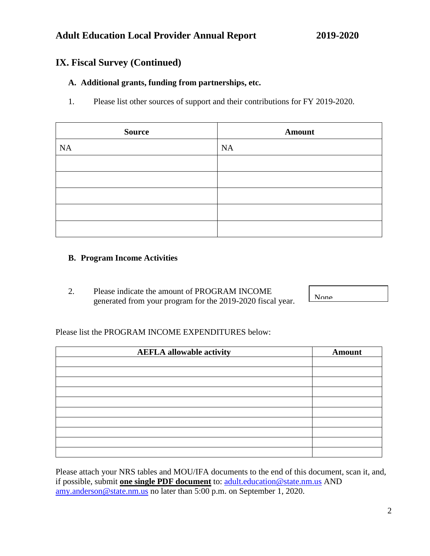### **IX. Fiscal Survey (Continued)**

#### **A. Additional grants, funding from partnerships, etc.**

1. Please list other sources of support and their contributions for FY 2019-2020.

| <b>Source</b> | <b>Amount</b> |
|---------------|---------------|
| NA            | <b>NA</b>     |
|               |               |
|               |               |
|               |               |
|               |               |
|               |               |

#### **B. Program Income Activities**

2. Please indicate the amount of PROGRAM INCOME generated from your program for the 2019-2020 fiscal year.

None

Please list the PROGRAM INCOME EXPENDITURES below:

| <b>AEFLA allowable activity</b> | <b>Amount</b> |
|---------------------------------|---------------|
|                                 |               |
|                                 |               |
|                                 |               |
|                                 |               |
|                                 |               |
|                                 |               |
|                                 |               |
|                                 |               |
|                                 |               |

Please attach your NRS tables and MOU/IFA documents to the end of this document, scan it, and, if possible, submit **one single PDF document** to: [adult.education@state.nm.us](mailto:adult.education@state.nm.us) AND [amy.anderson@state.nm.us](mailto:amy.anderson@state.nm.us) no later than 5:00 p.m. on September 1, 2020.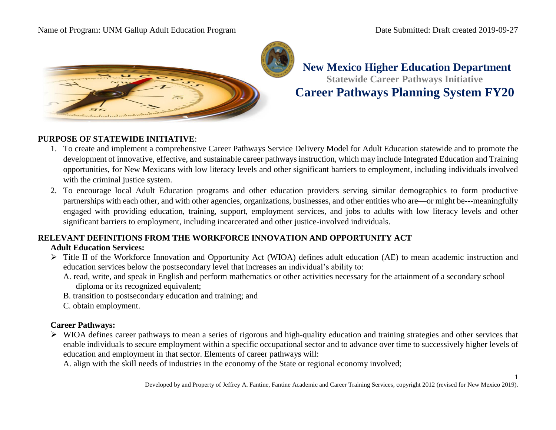#### Name of Program: UNM Gallup Adult Education Program Date Submitted: Draft created 2019-09-27



**New Mexico Higher Education Department Statewide Career Pathways Initiative Career Pathways Planning System FY20** 

#### **PURPOSE OF STATEWIDE INITIATIVE**:

- 1. To create and implement a comprehensive Career Pathways Service Delivery Model for Adult Education statewide and to promote the development of innovative, effective, and sustainable career pathways instruction, which may include Integrated Education and Training opportunities, for New Mexicans with low literacy levels and other significant barriers to employment, including individuals involved with the criminal justice system.
- 2. To encourage local Adult Education programs and other education providers serving similar demographics to form productive partnerships with each other, and with other agencies, organizations, businesses, and other entities who are—or might be---meaningfully engaged with providing education, training, support, employment services, and jobs to adults with low literacy levels and other significant barriers to employment, including incarcerated and other justice-involved individuals.

## **RELEVANT DEFINITIONS FROM THE WORKFORCE INNOVATION AND OPPORTUNITY ACT**

#### **Adult Education Services:**

- Title II of the Workforce Innovation and Opportunity Act (WIOA) defines adult education (AE) to mean academic instruction and education services below the postsecondary level that increases an individual's ability to:
	- A. read, write, and speak in English and perform mathematics or other activities necessary for the attainment of a secondary school diploma or its recognized equivalent;
	- B. transition to postsecondary education and training; and
	- C. obtain employment.

#### **Career Pathways:**

 $\triangleright$  WIOA defines career pathways to mean a series of rigorous and high-quality education and training strategies and other services that enable individuals to secure employment within a specific occupational sector and to advance over time to successively higher levels of education and employment in that sector. Elements of career pathways will:

A. align with the skill needs of industries in the economy of the State or regional economy involved;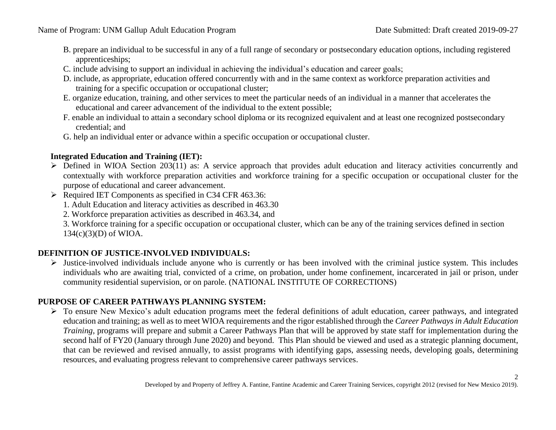- B. prepare an individual to be successful in any of a full range of secondary or postsecondary education options, including registered apprenticeships;
- C. include advising to support an individual in achieving the individual's education and career goals;
- D. include, as appropriate, education offered concurrently with and in the same context as workforce preparation activities and training for a specific occupation or occupational cluster;
- E. organize education, training, and other services to meet the particular needs of an individual in a manner that accelerates the educational and career advancement of the individual to the extent possible;
- F. enable an individual to attain a secondary school diploma or its recognized equivalent and at least one recognized postsecondary credential; and
- G. help an individual enter or advance within a specific occupation or occupational cluster.

#### **Integrated Education and Training (IET):**

- ▶ Defined in WIOA Section 203(11) as: A service approach that provides adult education and literacy activities concurrently and contextually with workforce preparation activities and workforce training for a specific occupation or occupational cluster for the purpose of educational and career advancement.
- $\triangleright$  Required IET Components as specified in C34 CFR 463.36:
	- 1. Adult Education and literacy activities as described in 463.30
	- 2. Workforce preparation activities as described in 463.34, and

3. Workforce training for a specific occupation or occupational cluster, which can be any of the training services defined in section 134(c)(3)(D) of WIOA.

#### **DEFINITION OF JUSTICE-INVOLVED INDIVIDUALS:**

 $\triangleright$  Justice-involved individuals include anyone who is currently or has been involved with the criminal justice system. This includes individuals who are awaiting trial, convicted of a crime, on probation, under home confinement, incarcerated in jail or prison, under community residential supervision, or on parole. (NATIONAL INSTITUTE OF CORRECTIONS)

#### **PURPOSE OF CAREER PATHWAYS PLANNING SYSTEM:**

 $\triangleright$  To ensure New Mexico's adult education programs meet the federal definitions of adult education, career pathways, and integrated education and training; as well as to meet WIOA requirements and the rigor established through the *Career Pathways in Adult Education Training*, programs will prepare and submit a Career Pathways Plan that will be approved by state staff for implementation during the second half of FY20 (January through June 2020) and beyond. This Plan should be viewed and used as a strategic planning document, that can be reviewed and revised annually, to assist programs with identifying gaps, assessing needs, developing goals, determining resources, and evaluating progress relevant to comprehensive career pathways services.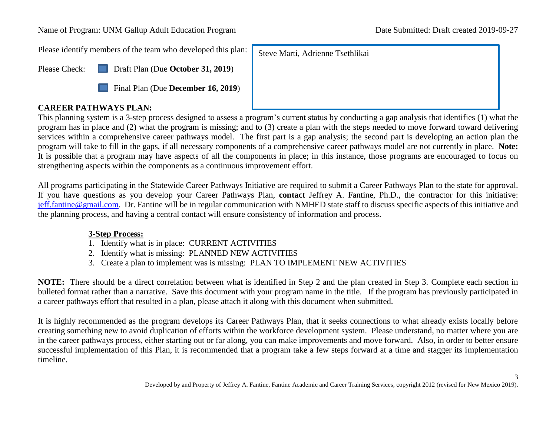Name of Program: UNM Gallup Adult Education Program Date Submitted: Draft created 2019-09-27

Please identify members of the team who developed this plan:

Please Check: **Draft Plan (Due October 31, 2019)** X



#### **CAREER PATHWAYS PLAN:**

This planning system is a 3-step process designed to assess a program's current status by conducting a gap analysis that identifies (1) what the program has in place and (2) what the program is missing; and to (3) create a plan with the steps needed to move forward toward delivering services within a comprehensive career pathways model. The first part is a gap analysis; the second part is developing an action plan the program will take to fill in the gaps, if all necessary components of a comprehensive career pathways model are not currently in place. **Note:** It is possible that a program may have aspects of all the components in place; in this instance, those programs are encouraged to focus on strengthening aspects within the components as a continuous improvement effort.

Steve Marti, Adrienne Tsethlikai

All programs participating in the Statewide Career Pathways Initiative are required to submit a Career Pathways Plan to the state for approval. If you have questions as you develop your Career Pathways Plan, **contact** Jeffrey A. Fantine, Ph.D., the contractor for this initiative: [jeff.fantine@gmail.com.](mailto:jeff.fantine@gmail.com) Dr. Fantine will be in regular communication with NMHED state staff to discuss specific aspects of this initiative and the planning process, and having a central contact will ensure consistency of information and process.

#### **3-Step Process:**

- 1. Identify what is in place: CURRENT ACTIVITIES
- 2. Identify what is missing: PLANNED NEW ACTIVITIES
- 3. Create a plan to implement was is missing: PLAN TO IMPLEMENT NEW ACTIVITIES

**NOTE:** There should be a direct correlation between what is identified in Step 2 and the plan created in Step 3. Complete each section in bulleted format rather than a narrative. Save this document with your program name in the title. If the program has previously participated in a career pathways effort that resulted in a plan, please attach it along with this document when submitted.

It is highly recommended as the program develops its Career Pathways Plan, that it seeks connections to what already exists locally before creating something new to avoid duplication of efforts within the workforce development system. Please understand, no matter where you are in the career pathways process, either starting out or far along, you can make improvements and move forward. Also, in order to better ensure successful implementation of this Plan, it is recommended that a program take a few steps forward at a time and stagger its implementation timeline.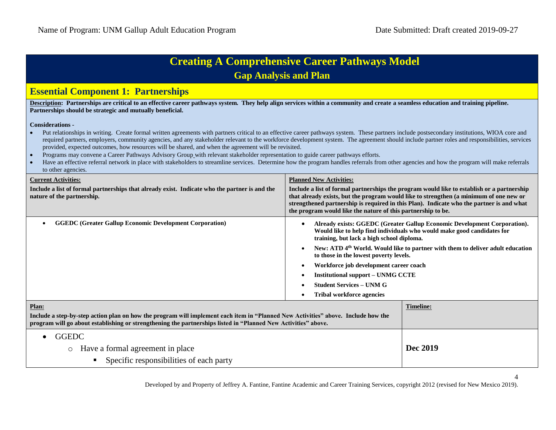|  |  | <b>Creating A Comprehensive Career Pathways Model</b> |  |  |
|--|--|-------------------------------------------------------|--|--|
|--|--|-------------------------------------------------------|--|--|

**Gap Analysis and Plan**

#### **Essential Component 1: Partnerships**

Description: Partnerships are critical to an effective career pathways system. They help align services within a community and create a seamless education and training pipeline. **Partnerships should be strategic and mutually beneficial.**

#### **Considerations -**

- Put relationships in writing. Create formal written agreements with partners critical to an effective career pathways system. These partners include postsecondary institutions, WIOA core and required partners, employers, community agencies, and any stakeholder relevant to the workforce development system. The agreement should include partner roles and responsibilities, services provided, expected outcomes, how resources will be shared, and when the agreement will be revisited.
- Programs may convene a Career Pathways Advisory Group with relevant stakeholder representation to guide career pathways efforts.
- Have an effective referral network in place with stakeholders to streamline services. Determine how the program handles referrals from other agencies and how the program will make referrals to other agencies.

| <b>Current Activities:</b>                                                                                                                                                                                                                          | <b>Planned New Activities:</b>                                                                                                                                                                                                                                                                                                                                                                                                                                                                                                                                             |  |
|-----------------------------------------------------------------------------------------------------------------------------------------------------------------------------------------------------------------------------------------------------|----------------------------------------------------------------------------------------------------------------------------------------------------------------------------------------------------------------------------------------------------------------------------------------------------------------------------------------------------------------------------------------------------------------------------------------------------------------------------------------------------------------------------------------------------------------------------|--|
| Include a list of formal partnerships that already exist. Indicate who the partner is and the<br>nature of the partnership.                                                                                                                         | Include a list of formal partnerships the program would like to establish or a partnership<br>that already exists, but the program would like to strengthen (a minimum of one new or<br>strengthened partnership is required in this Plan). Indicate who the partner is and what<br>the program would like the nature of this partnership to be.                                                                                                                                                                                                                           |  |
| <b>GGEDC (Greater Gallup Economic Development Corporation)</b><br>$\bullet$                                                                                                                                                                         | Already exists: GGEDC (Greater Gallup Economic Development Corporation).<br>٠<br>Would like to help find individuals who would make good candidates for<br>training, but lack a high school diploma.<br>New: ATD 4 <sup>th</sup> World. Would like to partner with them to deliver adult education<br>$\bullet$<br>to those in the lowest poverty levels.<br>Workforce job development career coach<br>$\bullet$<br><b>Institutional support – UNMG CCTE</b><br>$\bullet$<br><b>Student Services – UNM G</b><br>$\bullet$<br><b>Tribal workforce agencies</b><br>$\bullet$ |  |
| Plan:                                                                                                                                                                                                                                               | Timeline:                                                                                                                                                                                                                                                                                                                                                                                                                                                                                                                                                                  |  |
| Include a step-by-step action plan on how the program will implement each item in "Planned New Activities" above. Include how the<br>program will go about establishing or strengthening the partnerships listed in "Planned New Activities" above. |                                                                                                                                                                                                                                                                                                                                                                                                                                                                                                                                                                            |  |
| <b>GGEDC</b>                                                                                                                                                                                                                                        |                                                                                                                                                                                                                                                                                                                                                                                                                                                                                                                                                                            |  |
| Have a formal agreement in place<br>$\circ$                                                                                                                                                                                                         | Dec 2019                                                                                                                                                                                                                                                                                                                                                                                                                                                                                                                                                                   |  |
| Specific responsibilities of each party                                                                                                                                                                                                             |                                                                                                                                                                                                                                                                                                                                                                                                                                                                                                                                                                            |  |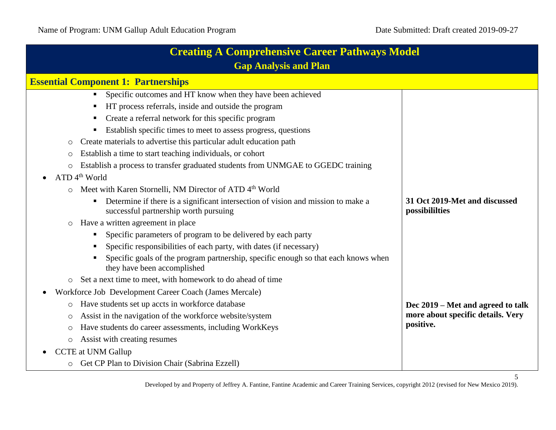| <b>Creating A Comprehensive Career Pathways Model</b>                                                                          |                                                 |
|--------------------------------------------------------------------------------------------------------------------------------|-------------------------------------------------|
| <b>Gap Analysis and Plan</b>                                                                                                   |                                                 |
| <b>Essential Component 1: Partnerships</b>                                                                                     |                                                 |
| Specific outcomes and HT know when they have been achieved                                                                     |                                                 |
| HT process referrals, inside and outside the program                                                                           |                                                 |
| Create a referral network for this specific program                                                                            |                                                 |
| Establish specific times to meet to assess progress, questions                                                                 |                                                 |
| Create materials to advertise this particular adult education path<br>O                                                        |                                                 |
| Establish a time to start teaching individuals, or cohort<br>O                                                                 |                                                 |
| Establish a process to transfer graduated students from UNMGAE to GGEDC training<br>$\circ$                                    |                                                 |
| ATD 4 <sup>th</sup> World                                                                                                      |                                                 |
| Meet with Karen Stornelli, NM Director of ATD 4 <sup>th</sup> World<br>$\circ$                                                 |                                                 |
| Determine if there is a significant intersection of vision and mission to make a<br>٠<br>successful partnership worth pursuing | 31 Oct 2019-Met and discussed<br>possibililties |
| Have a written agreement in place<br>$\circ$                                                                                   |                                                 |
| Specific parameters of program to be delivered by each party<br>$\blacksquare$                                                 |                                                 |
| Specific responsibilities of each party, with dates (if necessary)                                                             |                                                 |
| Specific goals of the program partnership, specific enough so that each knows when<br>they have been accomplished              |                                                 |
| Set a next time to meet, with homework to do ahead of time<br>$\circ$                                                          |                                                 |
| Workforce Job Development Career Coach (James Mercale)<br>$\bullet$                                                            |                                                 |
| Have students set up accts in workforce database<br>$\circ$                                                                    | Dec 2019 – Met and agreed to talk               |
| Assist in the navigation of the workforce website/system<br>O                                                                  | more about specific details. Very               |
| Have students do career assessments, including WorkKeys<br>O                                                                   | positive.                                       |
| Assist with creating resumes<br>$\circ$                                                                                        |                                                 |
| <b>CCTE</b> at UNM Gallup                                                                                                      |                                                 |
| Get CP Plan to Division Chair (Sabrina Ezzell)<br>$\circ$                                                                      |                                                 |

5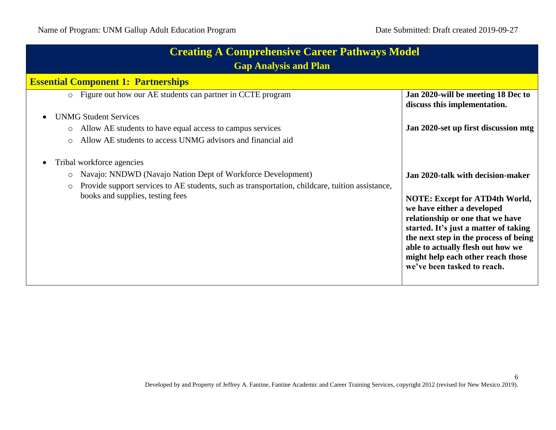| <b>Creating A Comprehensive Career Pathways Model</b><br><b>Gap Analysis and Plan</b>                      |                                                                                                                                                                                                                                                                                                    |  |
|------------------------------------------------------------------------------------------------------------|----------------------------------------------------------------------------------------------------------------------------------------------------------------------------------------------------------------------------------------------------------------------------------------------------|--|
| <b>Essential Component 1: Partnerships</b>                                                                 |                                                                                                                                                                                                                                                                                                    |  |
| • Figure out how our AE students can partner in CCTE program                                               | Jan 2020-will be meeting 18 Dec to<br>discuss this implementation.                                                                                                                                                                                                                                 |  |
| <b>UNMG Student Services</b>                                                                               |                                                                                                                                                                                                                                                                                                    |  |
| Allow AE students to have equal access to campus services                                                  | Jan 2020-set up first discussion mtg                                                                                                                                                                                                                                                               |  |
| Allow AE students to access UNMG advisors and financial aid<br>$\bigcirc$                                  |                                                                                                                                                                                                                                                                                                    |  |
| Tribal workforce agencies                                                                                  |                                                                                                                                                                                                                                                                                                    |  |
| Navajo: NNDWD (Navajo Nation Dept of Workforce Development)<br>$\circ$                                     | Jan 2020-talk with decision-maker                                                                                                                                                                                                                                                                  |  |
| Provide support services to AE students, such as transportation, childcare, tuition assistance,<br>$\circ$ |                                                                                                                                                                                                                                                                                                    |  |
| books and supplies, testing fees                                                                           | <b>NOTE: Except for ATD4th World,</b><br>we have either a developed<br>relationship or one that we have<br>started. It's just a matter of taking<br>the next step in the process of being<br>able to actually flesh out how we<br>might help each other reach those<br>we've been tasked to reach. |  |
|                                                                                                            |                                                                                                                                                                                                                                                                                                    |  |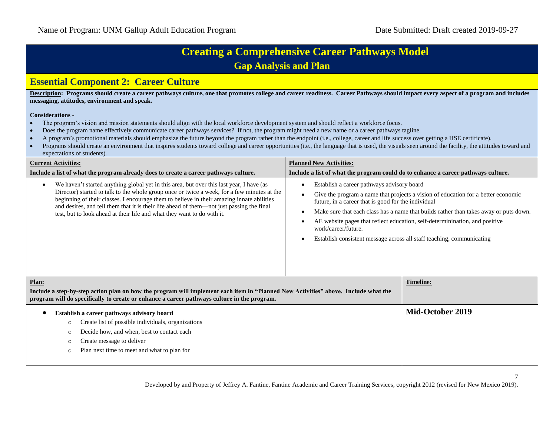#### **Essential Component 2: Career Culture**

**Description: Programs should create a career pathways culture, one that promotes college and career readiness. Career Pathways should impact every aspect of a program and includes messaging, attitudes, environment and speak.** 

#### **Considerations** -

- The program's vision and mission statements should align with the local workforce development system and should reflect a workforce focus.
- Does the program name effectively communicate career pathways services? If not, the program might need a new name or a career pathways tagline.
- A program's promotional materials should emphasize the future beyond the program rather than the endpoint (i.e., college, career and life success over getting a HSE certificate).
- Programs should create an environment that inspires students toward college and career opportunities (i.e., the language that is used, the visuals seen around the facility, the attitudes toward and expectations of students).

| <b>Current Activities:</b>                                                                                                                                                                                                                                                                                                                                                                                                                                                | <b>Planned New Activities:</b>                                                                                                                                                                                                                                                                                                                                                                                                                                                                                     |
|---------------------------------------------------------------------------------------------------------------------------------------------------------------------------------------------------------------------------------------------------------------------------------------------------------------------------------------------------------------------------------------------------------------------------------------------------------------------------|--------------------------------------------------------------------------------------------------------------------------------------------------------------------------------------------------------------------------------------------------------------------------------------------------------------------------------------------------------------------------------------------------------------------------------------------------------------------------------------------------------------------|
| Include a list of what the program already does to create a career pathways culture.                                                                                                                                                                                                                                                                                                                                                                                      | Include a list of what the program could do to enhance a career pathways culture.                                                                                                                                                                                                                                                                                                                                                                                                                                  |
| We haven't started anything global yet in this area, but over this last year, I have (as<br>$\bullet$<br>Director) started to talk to the whole group once or twice a week, for a few minutes at the<br>beginning of their classes. I encourage them to believe in their amazing innate abilities<br>and desires, and tell them that it is their life ahead of them—not just passing the final<br>test, but to look ahead at their life and what they want to do with it. | Establish a career pathways advisory board<br>$\bullet$<br>Give the program a name that projects a vision of education for a better economic<br>$\bullet$<br>future, in a career that is good for the individual<br>Make sure that each class has a name that builds rather than takes away or puts down.<br>$\bullet$<br>AE website pages that reflect education, self-determinination, and positive<br>work/career/future.<br>Establish consistent message across all staff teaching, communicating<br>$\bullet$ |
| Plan:<br>Include a step-by-step action plan on how the program will implement each item in "Planned New Activities" above. Include what the<br>program will do specifically to create or enhance a career pathways culture in the program.                                                                                                                                                                                                                                | <b>Timeline:</b>                                                                                                                                                                                                                                                                                                                                                                                                                                                                                                   |
| Establish a career pathways advisory board<br>Create list of possible individuals, organizations<br>$\circ$<br>Decide how, and when, best to contact each<br>$\circ$<br>Create message to deliver<br>$\circ$<br>Plan next time to meet and what to plan for<br>$\circ$                                                                                                                                                                                                    | Mid-October 2019                                                                                                                                                                                                                                                                                                                                                                                                                                                                                                   |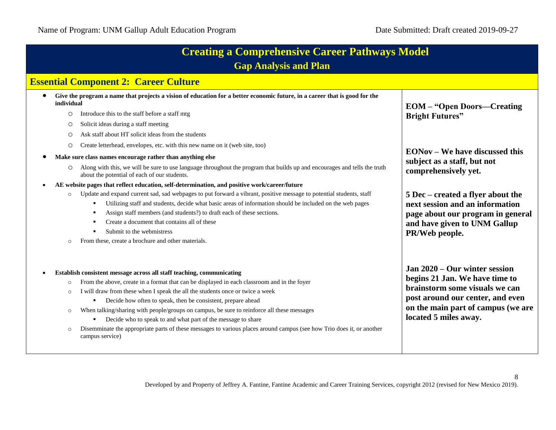| <b>Creating a Comprehensive Career Pathways Model</b><br><b>Gap Analysis and Plan</b> |                                                                                                                                                                                                                                                                                                                                                                                                                                                                                                                                                                                                                                       |                                                                                                                                                                                                      |
|---------------------------------------------------------------------------------------|---------------------------------------------------------------------------------------------------------------------------------------------------------------------------------------------------------------------------------------------------------------------------------------------------------------------------------------------------------------------------------------------------------------------------------------------------------------------------------------------------------------------------------------------------------------------------------------------------------------------------------------|------------------------------------------------------------------------------------------------------------------------------------------------------------------------------------------------------|
|                                                                                       | <b>Essential Component 2: Career Culture</b>                                                                                                                                                                                                                                                                                                                                                                                                                                                                                                                                                                                          |                                                                                                                                                                                                      |
| individual<br>$\circ$<br>$\circ$<br>$\circ$<br>O                                      | Give the program a name that projects a vision of education for a better economic future, in a career that is good for the<br>Introduce this to the staff before a staff mtg<br>Solicit ideas during a staff meeting<br>Ask staff about HT solicit ideas from the students<br>Create letterhead, envelopes, etc. with this new name on it (web site, too)                                                                                                                                                                                                                                                                             | <b>EOM</b> – "Open Doors—Creating<br><b>Bright Futures"</b><br><b>EONov</b> – We have discussed this                                                                                                 |
| $\circ$                                                                               | Make sure class names encourage rather than anything else<br>Along with this, we will be sure to use language throughout the program that builds up and encourages and tells the truth<br>about the potential of each of our students.<br>AE website pages that reflect education, self-determination, and positive work/career/future                                                                                                                                                                                                                                                                                                | subject as a staff, but not<br>comprehensively yet.                                                                                                                                                  |
| $\circ$<br>$\circ$                                                                    | Update and expand current sad, sad webpages to put forward a vibrant, positive message to potential students, staff<br>Utilizing staff and students, decide what basic areas of information should be included on the web pages<br>Assign staff members (and students?) to draft each of these sections.<br>٠<br>Create a document that contains all of these<br>$\blacksquare$<br>Submit to the webmistress<br>From these, create a brochure and other materials.                                                                                                                                                                    | 5 Dec – created a flyer about the<br>next session and an information<br>page about our program in general<br>and have given to UNM Gallup<br>PR/Web people.                                          |
| $\circ$<br>$\circ$<br>$\circ$<br>$\circ$                                              | Establish consistent message across all staff teaching, communicating<br>From the above, create in a format that can be displayed in each classroom and in the foyer<br>I will draw from these when I speak the all the students once or twice a week<br>Decide how often to speak, then be consistent, prepare ahead<br>When talking/sharing with people/groups on campus, be sure to reinforce all these messages<br>Decide who to speak to and what part of the message to share<br>л.<br>Disemminate the appropriate parts of these messages to various places around campus (see how Trio does it, or another<br>campus service) | Jan 2020 – Our winter session<br>begins 21 Jan. We have time to<br>brainstorm some visuals we can<br>post around our center, and even<br>on the main part of campus (we are<br>located 5 miles away. |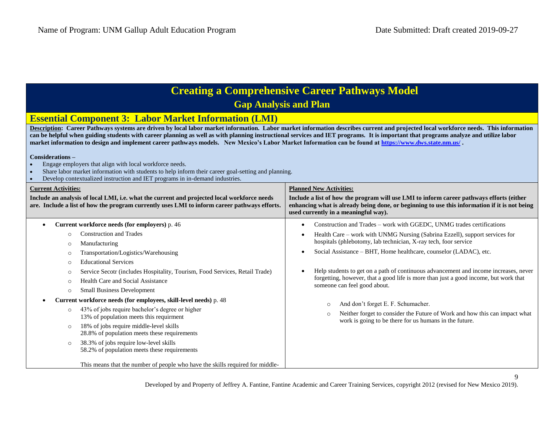| <b>Creating a Comprehensive Career Pathways Model</b><br><b>Gap Analysis and Plan</b>                                                                                                                                                                                                                                                                                                                                                                                                                                                |                                                                                                                                                                                                                                   |  |  |
|--------------------------------------------------------------------------------------------------------------------------------------------------------------------------------------------------------------------------------------------------------------------------------------------------------------------------------------------------------------------------------------------------------------------------------------------------------------------------------------------------------------------------------------|-----------------------------------------------------------------------------------------------------------------------------------------------------------------------------------------------------------------------------------|--|--|
| <b>Essential Component 3: Labor Market Information (LMI)</b>                                                                                                                                                                                                                                                                                                                                                                                                                                                                         |                                                                                                                                                                                                                                   |  |  |
| Description: Career Pathways systems are driven by local labor market information. Labor market information describes current and projected local workforce needs. This information<br>can be helpful when guiding students with career planning as well as with planning instructional services and IET programs. It is important that programs analyze and utilize labor<br>market information to design and implement career pathways models. New Mexico's Labor Market Information can be found at https://www.dws.state.nm.us/. |                                                                                                                                                                                                                                   |  |  |
| Considerations-<br>Engage employers that align with local workforce needs.<br>Share labor market information with students to help inform their career goal-setting and planning.<br>Develop contextualized instruction and IET programs in in-demand industries.<br>$\bullet$                                                                                                                                                                                                                                                       |                                                                                                                                                                                                                                   |  |  |
| <b>Current Activities:</b>                                                                                                                                                                                                                                                                                                                                                                                                                                                                                                           | <b>Planned New Activities:</b>                                                                                                                                                                                                    |  |  |
| Include an analysis of local LMI, i.e. what the current and projected local workforce needs<br>are. Include a list of how the program currently uses LMI to inform career pathways efforts.                                                                                                                                                                                                                                                                                                                                          | Include a list of how the program will use LMI to inform career pathways efforts (either<br>enhancing what is already being done, or beginning to use this information if it is not being<br>used currently in a meaningful way). |  |  |
| Current workforce needs (for employers) p. 46                                                                                                                                                                                                                                                                                                                                                                                                                                                                                        | Construction and Trades - work with GGEDC, UNMG trades certifications                                                                                                                                                             |  |  |
| <b>Construction and Trades</b>                                                                                                                                                                                                                                                                                                                                                                                                                                                                                                       | Health Care - work with UNMG Nursing (Sabrina Ezzell), support services for                                                                                                                                                       |  |  |
| Manufacturing<br>$\circ$                                                                                                                                                                                                                                                                                                                                                                                                                                                                                                             | hospitals (phlebotomy, lab technician, X-ray tech, foor service                                                                                                                                                                   |  |  |
| Transportation/Logistics/Warehousing<br>€                                                                                                                                                                                                                                                                                                                                                                                                                                                                                            | Social Assistance - BHT, Home healthcare, counselor (LADAC), etc.                                                                                                                                                                 |  |  |
| <b>Educational Services</b><br>$\cap$                                                                                                                                                                                                                                                                                                                                                                                                                                                                                                |                                                                                                                                                                                                                                   |  |  |
| Service Secotr (includes Hospitality, Tourism, Food Services, Retail Trade)<br>$\circ$                                                                                                                                                                                                                                                                                                                                                                                                                                               | Help students to get on a path of continuous advancement and income increases, never<br>forgetting, however, that a good life is more than just a good income, but work that                                                      |  |  |
| Health Care and Social Assistance<br>€                                                                                                                                                                                                                                                                                                                                                                                                                                                                                               | someone can feel good about.                                                                                                                                                                                                      |  |  |
| <b>Small Business Development</b><br>$\circ$                                                                                                                                                                                                                                                                                                                                                                                                                                                                                         |                                                                                                                                                                                                                                   |  |  |
| Current workforce needs (for employees, skill-level needs) p. 48                                                                                                                                                                                                                                                                                                                                                                                                                                                                     | And don't forget E. F. Schumacher.<br>$\circ$                                                                                                                                                                                     |  |  |
| 43% of jobs require bachelor's degree or higher<br>$\circ$<br>13% of population meets this requirment                                                                                                                                                                                                                                                                                                                                                                                                                                | Neither forget to consider the Future of Work and how this can impact what<br>$\circ$<br>work is going to be there for us humans in the future.                                                                                   |  |  |
| 18% of jobs require middle-level skills<br>$\circ$<br>28.8% of population meets these requirements                                                                                                                                                                                                                                                                                                                                                                                                                                   |                                                                                                                                                                                                                                   |  |  |
| 38.3% of jobs require low-level skills<br>$\circ$<br>58.2% of population meets these requirements                                                                                                                                                                                                                                                                                                                                                                                                                                    |                                                                                                                                                                                                                                   |  |  |
| This means that the number of people who have the skills required for middle-                                                                                                                                                                                                                                                                                                                                                                                                                                                        |                                                                                                                                                                                                                                   |  |  |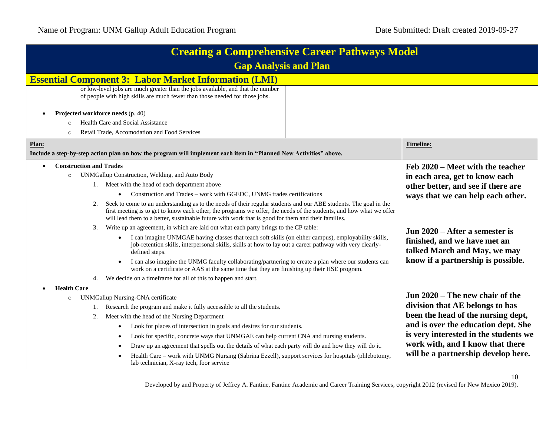10

| <b>Creating a Comprehensive Career Pathways Model</b>                                                                                                                                                                                                                                                                                               |  |                                                                       |  |
|-----------------------------------------------------------------------------------------------------------------------------------------------------------------------------------------------------------------------------------------------------------------------------------------------------------------------------------------------------|--|-----------------------------------------------------------------------|--|
| <b>Gap Analysis and Plan</b>                                                                                                                                                                                                                                                                                                                        |  |                                                                       |  |
| <b>Essential Component 3: Labor Market Information (LMI)</b>                                                                                                                                                                                                                                                                                        |  |                                                                       |  |
| or low-level jobs are much greater than the jobs available, and that the number<br>of people with high skills are much fewer than those needed for those jobs.                                                                                                                                                                                      |  |                                                                       |  |
| Projected workforce needs (p. 40)                                                                                                                                                                                                                                                                                                                   |  |                                                                       |  |
| Health Care and Social Assistance                                                                                                                                                                                                                                                                                                                   |  |                                                                       |  |
| Retail Trade, Accomodation and Food Services<br>$\circ$                                                                                                                                                                                                                                                                                             |  |                                                                       |  |
| Plan:                                                                                                                                                                                                                                                                                                                                               |  | Timeline:                                                             |  |
| Include a step-by-step action plan on how the program will implement each item in "Planned New Activities" above.                                                                                                                                                                                                                                   |  |                                                                       |  |
| <b>Construction and Trades</b>                                                                                                                                                                                                                                                                                                                      |  | Feb 2020 – Meet with the teacher                                      |  |
| UNMGallup Construction, Welding, and Auto Body<br>$\circ$                                                                                                                                                                                                                                                                                           |  | in each area, get to know each                                        |  |
| 1. Meet with the head of each department above                                                                                                                                                                                                                                                                                                      |  | other better, and see if there are                                    |  |
| Construction and Trades - work with GGEDC, UNMG trades certifications                                                                                                                                                                                                                                                                               |  | ways that we can help each other.                                     |  |
| Seek to come to an understanding as to the needs of their regular students and our ABE students. The goal in the<br>2.<br>first meeting is to get to know each other, the programs we offer, the needs of the students, and how what we offer<br>will lead them to a better, sustainable future with work that is good for them and their families. |  |                                                                       |  |
| 3. Write up an agreement, in which are laid out what each party brings to the CP table:                                                                                                                                                                                                                                                             |  | Jun 2020 – After a semester is                                        |  |
| I can imagine UNMGAE having classes that teach soft skills (on either campus), employability skills,<br>$\bullet$<br>job-retention skills, interpersonal skills, skills at how to lay out a career pathway with very clearly-<br>defined steps.                                                                                                     |  | finished, and we have met an<br>talked March and May, we may          |  |
| I can also imagine the UNMG faculty collaborating/partnering to create a plan where our students can<br>$\bullet$<br>work on a certificate or AAS at the same time that they are finishing up their HSE program.                                                                                                                                    |  | know if a partnership is possible.                                    |  |
| 4. We decide on a timeframe for all of this to happen and start.                                                                                                                                                                                                                                                                                    |  |                                                                       |  |
| <b>Health Care</b>                                                                                                                                                                                                                                                                                                                                  |  |                                                                       |  |
| <b>UNMGallup Nursing-CNA certificate</b><br>$\circ$                                                                                                                                                                                                                                                                                                 |  | Jun 2020 – The new chair of the                                       |  |
| Research the program and make it fully accessible to all the students.<br>1.                                                                                                                                                                                                                                                                        |  | division that AE belongs to has<br>been the head of the nursing dept, |  |
| Meet with the head of the Nursing Department<br>2.                                                                                                                                                                                                                                                                                                  |  |                                                                       |  |
| Look for places of intersection in goals and desires for our students.                                                                                                                                                                                                                                                                              |  | and is over the education dept. She                                   |  |
| Look for specific, concrete ways that UNMGAE can help current CNA and nursing students.                                                                                                                                                                                                                                                             |  | is very interested in the students we                                 |  |
| Draw up an agreement that spells out the details of what each party will do and how they will do it.                                                                                                                                                                                                                                                |  | work with, and I know that there                                      |  |
| Health Care - work with UNMG Nursing (Sabrina Ezzell), support services for hospitals (phlebotomy,<br>lab technician, X-ray tech, foor service                                                                                                                                                                                                      |  | will be a partnership develop here.                                   |  |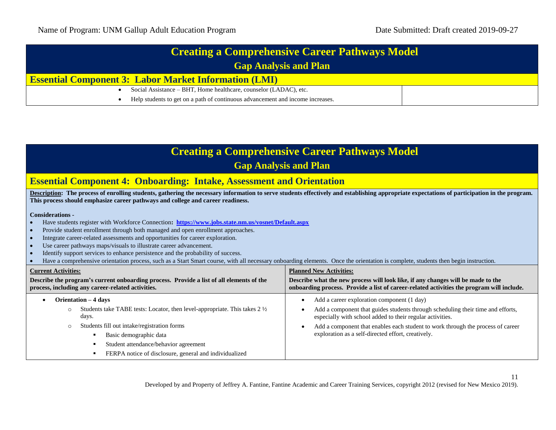| <b>Creating a Comprehensive Career Pathways Model</b>                          |  |
|--------------------------------------------------------------------------------|--|
| <b>Gap Analysis and Plan</b>                                                   |  |
| <b>Essential Component 3: Labor Market Information (LMI)</b>                   |  |
| Social Assistance – BHT, Home healthcare, counselor (LADAC), etc.              |  |
| Help students to get on a path of continuous advancement and income increases. |  |

| <b>Creating a Comprehensive Career Pathways Model</b><br><b>Gap Analysis and Plan</b>                                                                                                                                                                                                                                                                                                                                                                                                                                                                                                                                                                                                                                                                                                                               |                                                                                                                                                                                                                                                                                                                                                                            |  |
|---------------------------------------------------------------------------------------------------------------------------------------------------------------------------------------------------------------------------------------------------------------------------------------------------------------------------------------------------------------------------------------------------------------------------------------------------------------------------------------------------------------------------------------------------------------------------------------------------------------------------------------------------------------------------------------------------------------------------------------------------------------------------------------------------------------------|----------------------------------------------------------------------------------------------------------------------------------------------------------------------------------------------------------------------------------------------------------------------------------------------------------------------------------------------------------------------------|--|
| <b>Essential Component 4: Onboarding: Intake, Assessment and Orientation</b>                                                                                                                                                                                                                                                                                                                                                                                                                                                                                                                                                                                                                                                                                                                                        |                                                                                                                                                                                                                                                                                                                                                                            |  |
| Description: The process of enrolling students, gathering the necessary information to serve students effectively and establishing appropriate expectations of participation in the program.<br>This process should emphasize career pathways and college and career readiness.                                                                                                                                                                                                                                                                                                                                                                                                                                                                                                                                     |                                                                                                                                                                                                                                                                                                                                                                            |  |
| <b>Considerations -</b><br>Have students register with Workforce Connection: https://www.jobs.state.nm.us/vosnet/Default.aspx<br>Provide student enrollment through both managed and open enrollment approaches.<br>$\bullet$<br>Integrate career-related assessments and opportunities for career exploration.<br>$\bullet$<br>Use career pathways maps/visuals to illustrate career advancement.<br>$\bullet$<br>Identify support services to enhance persistence and the probability of success.<br>Have a comprehensive orientation process, such as a Start Smart course, with all necessary onboarding elements. Once the orientation is complete, students then begin instruction.<br><b>Current Activities:</b><br>Describe the program's current onboarding process. Provide a list of all elements of the | <b>Planned New Activities:</b><br>Describe what the new process will look like, if any changes will be made to the                                                                                                                                                                                                                                                         |  |
| process, including any career-related activities.                                                                                                                                                                                                                                                                                                                                                                                                                                                                                                                                                                                                                                                                                                                                                                   | onboarding process. Provide a list of career-related activities the program will include.                                                                                                                                                                                                                                                                                  |  |
| Orientation – 4 days<br>$\bullet$<br>Students take TABE tests: Locator, then level-appropriate. This takes $2\frac{1}{2}$<br>$\circ$<br>days.<br>Students fill out intake/registration forms<br>$\circ$<br>Basic demographic data<br>Student attendance/behavior agreement<br>FERPA notice of disclosure, general and individualized                                                                                                                                                                                                                                                                                                                                                                                                                                                                                | Add a career exploration component (1 day)<br>$\bullet$<br>Add a component that guides students through scheduling their time and efforts,<br>$\bullet$<br>especially with school added to their regular activities.<br>Add a component that enables each student to work through the process of career<br>$\bullet$<br>exploration as a self-directed effort, creatively. |  |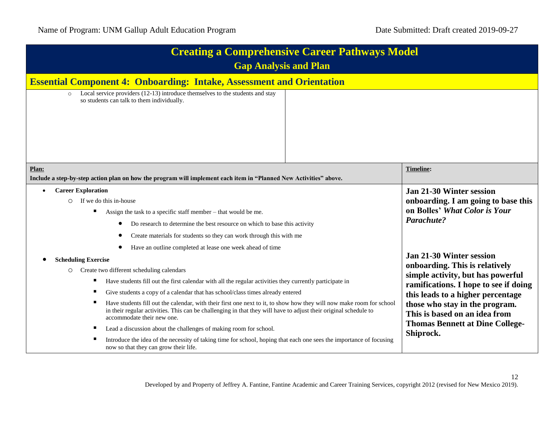| <b>Creating a Comprehensive Career Pathways Model</b><br><b>Gap Analysis and Plan</b>                                                                                                                                                                                                                                                                                                                                                                                                                                                                                                                                                                                                                                                                                                                                                                                           |                                                                                                                                                                                                                                                                                                                |
|---------------------------------------------------------------------------------------------------------------------------------------------------------------------------------------------------------------------------------------------------------------------------------------------------------------------------------------------------------------------------------------------------------------------------------------------------------------------------------------------------------------------------------------------------------------------------------------------------------------------------------------------------------------------------------------------------------------------------------------------------------------------------------------------------------------------------------------------------------------------------------|----------------------------------------------------------------------------------------------------------------------------------------------------------------------------------------------------------------------------------------------------------------------------------------------------------------|
| <b>Essential Component 4: Onboarding: Intake, Assessment and Orientation</b>                                                                                                                                                                                                                                                                                                                                                                                                                                                                                                                                                                                                                                                                                                                                                                                                    |                                                                                                                                                                                                                                                                                                                |
| Local service providers (12-13) introduce themselves to the students and stay<br>so students can talk to them individually.                                                                                                                                                                                                                                                                                                                                                                                                                                                                                                                                                                                                                                                                                                                                                     |                                                                                                                                                                                                                                                                                                                |
| Plan:<br>Include a step-by-step action plan on how the program will implement each item in "Planned New Activities" above.                                                                                                                                                                                                                                                                                                                                                                                                                                                                                                                                                                                                                                                                                                                                                      | <b>Timeline:</b>                                                                                                                                                                                                                                                                                               |
| <b>Career Exploration</b><br>$\bullet$<br>If we do this in-house<br>$\circ$<br>Assign the task to a specific staff member - that would be me.<br>п<br>Do research to determine the best resource on which to base this activity<br>Create materials for students so they can work through this with me                                                                                                                                                                                                                                                                                                                                                                                                                                                                                                                                                                          | <b>Jan 21-30 Winter session</b><br>onboarding. I am going to base this<br>on Bolles' What Color is Your<br>Parachute?                                                                                                                                                                                          |
| Have an outline completed at lease one week ahead of time<br><b>Scheduling Exercise</b><br>Create two different scheduling calendars<br>$\circ$<br>Have students fill out the first calendar with all the regular activities they currently participate in<br>ш<br>Give students a copy of a calendar that has school/class times already entered<br>п<br>Have students fill out the calendar, with their first one next to it, to show how they will now make room for school<br>п<br>in their regular activities. This can be challenging in that they will have to adjust their original schedule to<br>accommodate their new one.<br>Lead a discussion about the challenges of making room for school.<br>Introduce the idea of the necessity of taking time for school, hoping that each one sees the importance of focusing<br>п<br>now so that they can grow their life. | <b>Jan 21-30 Winter session</b><br>onboarding. This is relatively<br>simple activity, but has powerful<br>ramifications. I hope to see if doing<br>this leads to a higher percentage<br>those who stay in the program.<br>This is based on an idea from<br><b>Thomas Bennett at Dine College-</b><br>Shiprock. |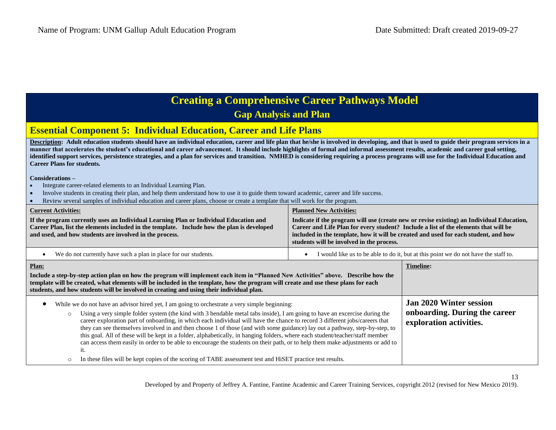#### **Essential Component 5: Individual Education, Career and Life Plans**

Description: Adult education students should have an individual education, career and life plan that he/she is involved in developing, and that is used to guide their program services in a manner that accelerates the student's educational and career advancement. It should include highlights of formal and informal assessment results, academic and career goal setting, **identified support services, persistence strategies, and a plan for services and transition. NMHED is considering requiring a process programs will use for the Individual Education and Career Plans for students.**

#### **Considerations –**

- Integrate career-related elements to an Individual Learning Plan.
- Involve students in creating their plan, and help them understand how to use it to guide them toward academic, career and life success.
- Review several samples of individual education and career plans, choose or create a template that will work for the program.

| <b>Current Activities:</b><br>If the program currently uses an Individual Learning Plan or Individual Education and<br>Career Plan, list the elements included in the template. Include how the plan is developed<br>and used, and how students are involved in the process.                                                                                                                                                                                                                                                                                                                                                                                                                                                                                                                                                                                                                       | <b>Planned New Activities:</b><br>Indicate if the program will use (create new or revise existing) an Individual Education,<br>Career and Life Plan for every student? Include a list of the elements that will be<br>included in the template, how it will be created and used for each student, and how<br>students will be involved in the process. |                                                                                            |
|----------------------------------------------------------------------------------------------------------------------------------------------------------------------------------------------------------------------------------------------------------------------------------------------------------------------------------------------------------------------------------------------------------------------------------------------------------------------------------------------------------------------------------------------------------------------------------------------------------------------------------------------------------------------------------------------------------------------------------------------------------------------------------------------------------------------------------------------------------------------------------------------------|--------------------------------------------------------------------------------------------------------------------------------------------------------------------------------------------------------------------------------------------------------------------------------------------------------------------------------------------------------|--------------------------------------------------------------------------------------------|
| We do not currently have such a plan in place for our students.                                                                                                                                                                                                                                                                                                                                                                                                                                                                                                                                                                                                                                                                                                                                                                                                                                    | I would like us to be able to do it, but at this point we do not have the staff to.                                                                                                                                                                                                                                                                    |                                                                                            |
| Plan:<br>Include a step-by-step action plan on how the program will implement each item in "Planned New Activities" above. Describe how the<br>template will be created, what elements will be included in the template, how the program will create and use these plans for each<br>students, and how students will be involved in creating and using their individual plan.                                                                                                                                                                                                                                                                                                                                                                                                                                                                                                                      |                                                                                                                                                                                                                                                                                                                                                        |                                                                                            |
| While we do not have an advisor hired yet, I am going to orchestrate a very simple beginning:<br>Using a very simple folder system (the kind with 3 bendable metal tabs inside), I am going to have an excercise during the<br>$\circ$<br>career exploration part of onboarding, in which each individual will have the chance to record 3 different jobs/careers that<br>they can see themselves involved in and then choose 1 of those (and with some guidance) lay out a pathway, step-by-step, to<br>this goal. All of these will be kept in a folder, alphabetically, in hanging folders, where each student/teacher/staff member<br>can access them easily in order to be able to encourage the students on their path, or to help them make adjustments or add to<br>it.<br>In these files will be kept copies of the scoring of TABE assessment test and HiSET practice test results.<br>O |                                                                                                                                                                                                                                                                                                                                                        | <b>Jan 2020 Winter session</b><br>onboarding. During the career<br>exploration activities. |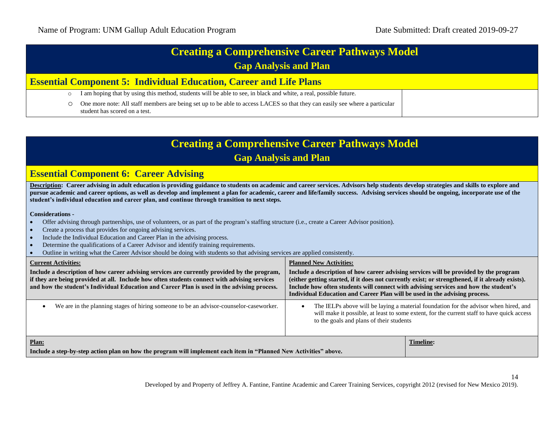| <b>Creating a Comprehensive Career Pathways Model</b>                     |                                                                                                                                                              |  |
|---------------------------------------------------------------------------|--------------------------------------------------------------------------------------------------------------------------------------------------------------|--|
| <b>Gap Analysis and Plan</b>                                              |                                                                                                                                                              |  |
| <b>Essential Component 5: Individual Education, Career and Life Plans</b> |                                                                                                                                                              |  |
| $\circ$                                                                   | I am hoping that by using this method, students will be able to see, in black and white, a real, possible future.                                            |  |
| $\circ$                                                                   | One more note: All staff members are being set up to be able to access LACES so that they can easily see where a particular<br>student has scored on a test. |  |

| <b>Creating a Comprehensive Career Pathways Model</b><br><b>Gap Analysis and Plan</b>                                                                                                                                                                                                                                                                                                                                                                                                                                                             |                                                                                                                                                                                                                                                                                                                                                                 |  |  |
|---------------------------------------------------------------------------------------------------------------------------------------------------------------------------------------------------------------------------------------------------------------------------------------------------------------------------------------------------------------------------------------------------------------------------------------------------------------------------------------------------------------------------------------------------|-----------------------------------------------------------------------------------------------------------------------------------------------------------------------------------------------------------------------------------------------------------------------------------------------------------------------------------------------------------------|--|--|
| <b>Essential Component 6: Career Advising</b>                                                                                                                                                                                                                                                                                                                                                                                                                                                                                                     |                                                                                                                                                                                                                                                                                                                                                                 |  |  |
| Description: Career advising in adult education is providing guidance to students on academic and career services. Advisors help students develop strategies and skills to explore and<br>pursue academic and career options, as well as develop and implement a plan for academic, career and life/family success. Advising services should be ongoing, incorporate use of the<br>student's individual education and career plan, and continue through transition to next steps.                                                                 |                                                                                                                                                                                                                                                                                                                                                                 |  |  |
| <b>Considerations -</b><br>Offer advising through partnerships, use of volunteers, or as part of the program's staffing structure (i.e., create a Career Advisor position).<br>Create a process that provides for ongoing advising services.<br>Include the Individual Education and Career Plan in the advising process.<br>Determine the qualifications of a Career Advisor and identify training requirements.<br>Outline in writing what the Career Advisor should be doing with students so that advising services are applied consistently. |                                                                                                                                                                                                                                                                                                                                                                 |  |  |
| <b>Current Activities:</b>                                                                                                                                                                                                                                                                                                                                                                                                                                                                                                                        | <b>Planned New Activities:</b>                                                                                                                                                                                                                                                                                                                                  |  |  |
| Include a description of how career advising services are currently provided by the program,<br>if they are being provided at all. Include how often students connect with advising services<br>and how the student's Individual Education and Career Plan is used in the advising process.                                                                                                                                                                                                                                                       | Include a description of how career advising services will be provided by the program<br>(either getting started, if it does not currently exist; or strengthened, if it already exists).<br>Include how often students will connect with advising services and how the student's<br>Individual Education and Career Plan will be used in the advising process. |  |  |
| We are in the planning stages of hiring someone to be an advisor-counselor-caseworker.                                                                                                                                                                                                                                                                                                                                                                                                                                                            | The IELPs above will be laying a material foundation for the advisor when hired, and<br>will make it possible, at least to some extent, for the current staff to have quick access<br>to the goals and plans of their students                                                                                                                                  |  |  |
| Plan:<br>Include a step-by-step action plan on how the program will implement each item in "Planned New Activities" above.                                                                                                                                                                                                                                                                                                                                                                                                                        | <b>Timeline:</b>                                                                                                                                                                                                                                                                                                                                                |  |  |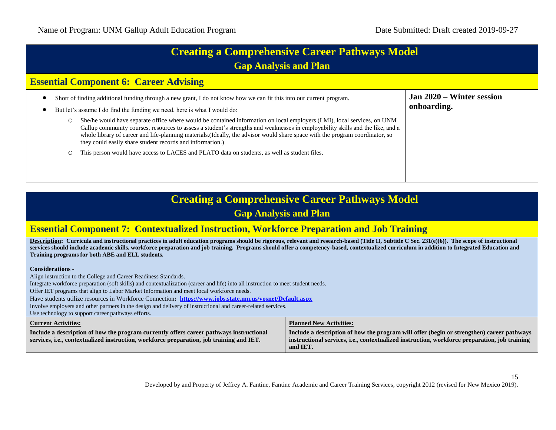| <b>Creating a Comprehensive Career Pathways Model</b> |  |
|-------------------------------------------------------|--|
| <b>Gap Analysis and Plan</b>                          |  |

#### **Essential Component 6: Career Advising**

|  | Short of finding additional funding through a new grant, I do not know how we can fit this into our current program.<br>But let's assume I do find the funding we need, here is what I would do:                                                                                                                                                                                                                                                        | Jan 2020 – Winter session<br>onboarding. |
|--|---------------------------------------------------------------------------------------------------------------------------------------------------------------------------------------------------------------------------------------------------------------------------------------------------------------------------------------------------------------------------------------------------------------------------------------------------------|------------------------------------------|
|  | She/he would have separate office where would be contained information on local employers (LMI), local services, on UNM<br>Gallup community courses, resources to assess a student's strengths and weaknesses in employability skills and the like, and a<br>whole library of career and life-planning materials. (Ideally, the advisor would share space with the program coordinator, so<br>they could easily share student records and information.) |                                          |
|  | This person would have access to LACES and PLATO data on students, as well as student files.                                                                                                                                                                                                                                                                                                                                                            |                                          |

### **Creating a Comprehensive Career Pathways Model Gap Analysis and Plan**

#### **Essential Component 7: Contextualized Instruction, Workforce Preparation and Job Training**

**Description:** Curricula and instructional practices in adult education programs should be rigorous, relevant and research-based (Title II, Subtitle C Sec. 231(e)(6)). The scope of instructional **services should include academic skills, workforce preparation and job training. Programs should offer a competency-based, contextualized curriculum in addition to Integrated Education and Training programs for both ABE and ELL students.**

**Considerations -**

 Align instruction to the College and Career Readiness Standards. Integrate workforce preparation (soft skills) and contextualization (career and life) into all instruction to meet student needs. Offer IET programs that align to Labor Market Information and meet local workforce needs. Have students utilize resources in Workforce Connection**: <https://www.jobs.state.nm.us/vosnet/Default.aspx>** Involve employers and other partners in the design and delivery of instructional and career-related services. Use technology to support career pathways efforts. **Current Activities: Include a description of how the program currently offers career pathways instructional services, i.e., contextualized instruction, workforce preparation, job training and IET. Planned New Activities: Include a description of how the program will offer (begin or strengthen) career pathways instructional services, i.e., contextualized instruction, workforce preparation, job training and IET.**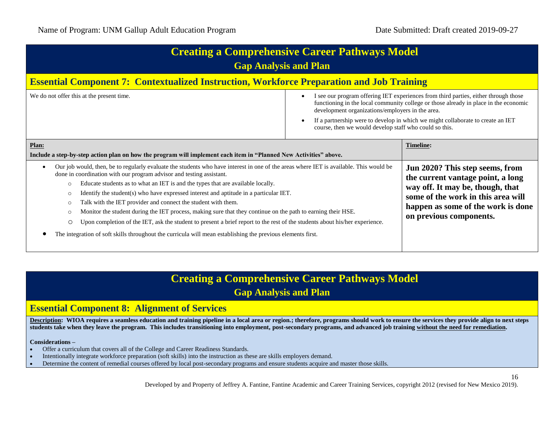| <b>Creating a Comprehensive Career Pathways Model</b><br><b>Gap Analysis and Plan</b><br><b>Essential Component 7: Contextualized Instruction, Workforce Preparation and Job Training</b>                                                                                                                                                                                                                                                                                                                                                                                                                                                                                                                                                                                                                                                                                                      |  |                                                                                                                                                                                                                 |
|------------------------------------------------------------------------------------------------------------------------------------------------------------------------------------------------------------------------------------------------------------------------------------------------------------------------------------------------------------------------------------------------------------------------------------------------------------------------------------------------------------------------------------------------------------------------------------------------------------------------------------------------------------------------------------------------------------------------------------------------------------------------------------------------------------------------------------------------------------------------------------------------|--|-----------------------------------------------------------------------------------------------------------------------------------------------------------------------------------------------------------------|
|                                                                                                                                                                                                                                                                                                                                                                                                                                                                                                                                                                                                                                                                                                                                                                                                                                                                                                |  |                                                                                                                                                                                                                 |
| Plan:<br>Include a step-by-step action plan on how the program will implement each item in "Planned New Activities" above.                                                                                                                                                                                                                                                                                                                                                                                                                                                                                                                                                                                                                                                                                                                                                                     |  | <b>Timeline:</b>                                                                                                                                                                                                |
| Our job would, then, be to regularly evaluate the students who have interest in one of the areas where IET is available. This would be<br>$\bullet$<br>done in coordination with our program advisor and testing assistant.<br>Educate students as to what an IET is and the types that are available locally.<br>$\circ$<br>Identify the student (s) who have expressed interest and aptitude in a particular IET.<br>$\circ$<br>Talk with the IET provider and connect the student with them.<br>$\circ$<br>Monitor the student during the IET process, making sure that they continue on the path to earning their HSE.<br>$\circ$<br>Upon completion of the IET, ask the student to present a brief report to the rest of the students about his/her experience.<br>$\circ$<br>The integration of soft skills throughout the curricula will mean establishing the previous elements first. |  | Jun 2020? This step seems, from<br>the current vantage point, a long<br>way off. It may be, though, that<br>some of the work in this area will<br>happen as some of the work is done<br>on previous components. |

# **Creating a Comprehensive Career Pathways Model**

### **Gap Analysis and Plan**

#### **Essential Component 8: Alignment of Services**

**Description:** WIOA requires a seamless education and training pipeline in a local area or region.; therefore, programs should work to ensure the services they provide align to next steps **students take when they leave the program. This includes transitioning into employment, post-secondary programs, and advanced job training without the need for remediation.**

#### **Considerations –**

- Offer a curriculum that covers all of the College and Career Readiness Standards.
- Intentionally integrate workforce preparation (soft skills) into the instruction as these are skills employers demand.
- Determine the content of remedial courses offered by local post-secondary programs and ensure students acquire and master those skills.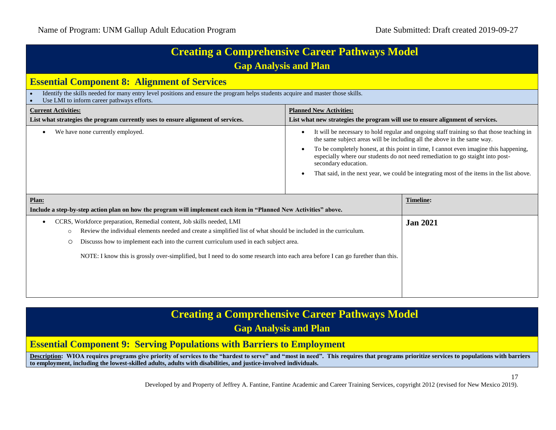| <b>Creating a Comprehensive Career Pathways Model</b><br><b>Gap Analysis and Plan</b>                                                                                          |                                                                                                                                                                                                                                                                                                                                                                                                                                                                                     |  |
|--------------------------------------------------------------------------------------------------------------------------------------------------------------------------------|-------------------------------------------------------------------------------------------------------------------------------------------------------------------------------------------------------------------------------------------------------------------------------------------------------------------------------------------------------------------------------------------------------------------------------------------------------------------------------------|--|
| <b>Essential Component 8: Alignment of Services</b>                                                                                                                            |                                                                                                                                                                                                                                                                                                                                                                                                                                                                                     |  |
| Identify the skills needed for many entry level positions and ensure the program helps students acquire and master those skills.<br>Use LMI to inform career pathways efforts. |                                                                                                                                                                                                                                                                                                                                                                                                                                                                                     |  |
| <b>Current Activities:</b>                                                                                                                                                     | <b>Planned New Activities:</b>                                                                                                                                                                                                                                                                                                                                                                                                                                                      |  |
| List what strategies the program currently uses to ensure alignment of services.                                                                                               | List what new strategies the program will use to ensure alignment of services.                                                                                                                                                                                                                                                                                                                                                                                                      |  |
| We have none currently employed.                                                                                                                                               | It will be necessary to hold regular and ongoing staff training so that those teaching in<br>٠<br>the same subject areas will be including all the above in the same way.<br>To be completely honest, at this point in time, I cannot even imagine this happening,<br>٠<br>especially where our students do not need remediation to go staight into post-<br>secondary education.<br>That said, in the next year, we could be integrating most of the items in the list above.<br>٠ |  |
| Plan:                                                                                                                                                                          | <b>Timeline:</b>                                                                                                                                                                                                                                                                                                                                                                                                                                                                    |  |
| Include a step-by-step action plan on how the program will implement each item in "Planned New Activities" above.                                                              |                                                                                                                                                                                                                                                                                                                                                                                                                                                                                     |  |
| CCRS, Workforce preparation, Remedial content, Job skills needed, LMI<br>$\bullet$                                                                                             | <b>Jan 2021</b>                                                                                                                                                                                                                                                                                                                                                                                                                                                                     |  |
| Review the individual elements needed and create a simplified list of what should be included in the curriculum.<br>$\circ$                                                    |                                                                                                                                                                                                                                                                                                                                                                                                                                                                                     |  |
| Discusss how to implement each into the current curriculum used in each subject area.<br>O                                                                                     |                                                                                                                                                                                                                                                                                                                                                                                                                                                                                     |  |
| NOTE: I know this is grossly over-simplified, but I need to do some research into each area before I can go furether than this.                                                |                                                                                                                                                                                                                                                                                                                                                                                                                                                                                     |  |
|                                                                                                                                                                                |                                                                                                                                                                                                                                                                                                                                                                                                                                                                                     |  |
|                                                                                                                                                                                |                                                                                                                                                                                                                                                                                                                                                                                                                                                                                     |  |
|                                                                                                                                                                                |                                                                                                                                                                                                                                                                                                                                                                                                                                                                                     |  |

#### **Essential Component 9: Serving Populations with Barriers to Employment**

**Description:** WIOA requires programs give priority of services to the "hardest to serve" and "most in need". This requires that programs prioritize services to populations with barriers **to employment, including the lowest-skilled adults, adults with disabilities, and justice-involved individuals.**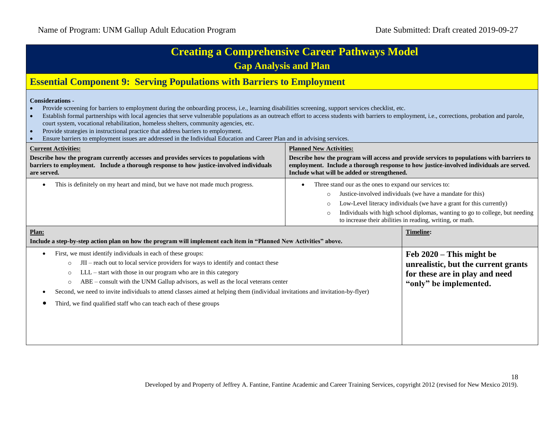| <b>Creating a Comprehensive Career Pathways Model</b><br><b>Gap Analysis and Plan</b>                                                                                                                                                                                                                                                                                                                                                                                                                                                                                                                                                                                                         |                                                                                                                                                                                                                                                                                                                                                                                       |                                                                                                                               |
|-----------------------------------------------------------------------------------------------------------------------------------------------------------------------------------------------------------------------------------------------------------------------------------------------------------------------------------------------------------------------------------------------------------------------------------------------------------------------------------------------------------------------------------------------------------------------------------------------------------------------------------------------------------------------------------------------|---------------------------------------------------------------------------------------------------------------------------------------------------------------------------------------------------------------------------------------------------------------------------------------------------------------------------------------------------------------------------------------|-------------------------------------------------------------------------------------------------------------------------------|
| <b>Essential Component 9: Serving Populations with Barriers to Employment</b>                                                                                                                                                                                                                                                                                                                                                                                                                                                                                                                                                                                                                 |                                                                                                                                                                                                                                                                                                                                                                                       |                                                                                                                               |
| <b>Considerations -</b><br>Provide screening for barriers to employment during the onboarding process, i.e., learning disabilities screening, support services checklist, etc.<br>Establish formal partnerships with local agencies that serve vulnerable populations as an outreach effort to access students with barriers to employment, i.e., corrections, probation and parole,<br>court system, vocational rehabilitation, homeless shelters, community agencies, etc.<br>Provide strategies in instructional practice that address barriers to employment.<br>Ensure barriers to employment issues are addressed in the Individual Education and Career Plan and in advising services. |                                                                                                                                                                                                                                                                                                                                                                                       |                                                                                                                               |
| <b>Current Activities:</b><br>Describe how the program currently accesses and provides services to populations with<br>barriers to employment. Include a thorough response to how justice-involved individuals<br>are served.                                                                                                                                                                                                                                                                                                                                                                                                                                                                 | <b>Planned New Activities:</b><br>Describe how the program will access and provide services to populations with barriers to<br>employment. Include a thorough response to how justice-involved individuals are served.<br>Include what will be added or strengthened.                                                                                                                 |                                                                                                                               |
| This is definitely on my heart and mind, but we have not made much progress.                                                                                                                                                                                                                                                                                                                                                                                                                                                                                                                                                                                                                  | Three stand our as the ones to expand our services to:<br>$\bullet$<br>Justice-involved individuals (we have a mandate for this)<br>$\circ$<br>Low-Level literacy individuals (we have a grant for this currently)<br>$\circ$<br>Individuals with high school diplomas, wanting to go to college, but needing<br>$\circ$<br>to increase their abilities in reading, writing, or math. |                                                                                                                               |
| Plan:<br>Include a step-by-step action plan on how the program will implement each item in "Planned New Activities" above.                                                                                                                                                                                                                                                                                                                                                                                                                                                                                                                                                                    |                                                                                                                                                                                                                                                                                                                                                                                       | <b>Timeline:</b>                                                                                                              |
| First, we must identify individuals in each of these groups:<br>JII – reach out to local service providers for ways to identify and contact these<br>$\circ$<br>LLL – start with those in our program who are in this category<br>$\circ$<br>ABE – consult with the UNM Gallup advisors, as well as the local veterans center<br>$\circ$<br>Second, we need to invite individuals to attend classes aimed at helping them (individual invitations and invitation-by-flyer)<br>Third, we find qualified staff who can teach each of these groups                                                                                                                                               |                                                                                                                                                                                                                                                                                                                                                                                       | Feb $2020$ – This might be<br>unrealistic, but the current grants<br>for these are in play and need<br>"only" be implemented. |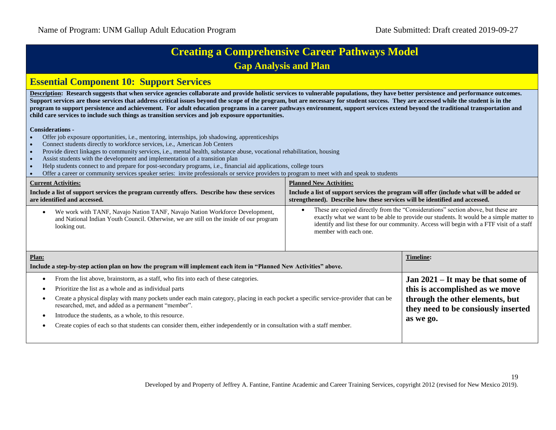#### **Essential Component 10: Support Services**

Description: Research suggests that when service agencies collaborate and provide holistic services to vulnerable populations, they have better persistence and performance outcomes. Support services are those services that address critical issues beyond the scope of the program, but are necessary for student success. They are accessed while the student is in the **program to support persistence and achievement. For adult education programs in a career pathways environment, support services extend beyond the traditional transportation and child care services to include such things as transition services and job exposure opportunities.**

#### **Considerations -**

- Offer job exposure opportunities, i.e., mentoring, internships, job shadowing, apprenticeships
- Connect students directly to workforce services, i.e., American Job Centers
- Provide direct linkages to community services, i.e., mental health, substance abuse, vocational rehabilitation, housing
- Assist students with the development and implementation of a transition plan
- Help students connect to and prepare for post-secondary programs, i.e., financial aid applications, college tours
- Offer a career or community services speaker series: invite professionals or service providers to program to meet with and speak to students

| <b>Current Activities:</b>                                                                                                                                                             | <b>Planned New Activities:</b>                                                                                                                                                                                                                                                                   |  |
|----------------------------------------------------------------------------------------------------------------------------------------------------------------------------------------|--------------------------------------------------------------------------------------------------------------------------------------------------------------------------------------------------------------------------------------------------------------------------------------------------|--|
| Include a list of support services the program currently offers. Describe how these services                                                                                           | Include a list of support services the program will offer (include what will be added or                                                                                                                                                                                                         |  |
| are identified and accessed.                                                                                                                                                           | strengthened). Describe how these services will be identified and accessed.                                                                                                                                                                                                                      |  |
| We work with TANF, Navajo Nation TANF, Navajo Nation Workforce Development,<br>and National Indian Youth Council. Otherwise, we are still on the inside of our program<br>looking out. | These are copied directly from the "Considerations" section above, but these are<br>exactly what we want to be able to provide our students. It would be a simple matter to<br>identify and list these for our community. Access will begin with a FTF visit of a staff<br>member with each one. |  |

| Plan:<br>Include a step-by-step action plan on how the program will implement each item in "Planned New Activities" above.                                                                                                                                                                                                                                                                                                                                                                                                       | <b>Timeline:</b>                                                                                                                                              |
|----------------------------------------------------------------------------------------------------------------------------------------------------------------------------------------------------------------------------------------------------------------------------------------------------------------------------------------------------------------------------------------------------------------------------------------------------------------------------------------------------------------------------------|---------------------------------------------------------------------------------------------------------------------------------------------------------------|
| From the list above, brainstorm, as a staff, who fits into each of these categories.<br>Prioritize the list as a whole and as individual parts<br>Create a physical display with many pockets under each main category, placing in each pocket a specific service-provider that can be<br>researched, met, and added as a permanent "member".<br>Introduce the students, as a whole, to this resource.<br>Create copies of each so that students can consider them, either independently or in consultation with a staff member. | Jan $2021 - It$ may be that some of<br>this is accomplished as we move<br>through the other elements, but<br>they need to be consiously inserted<br>as we go. |